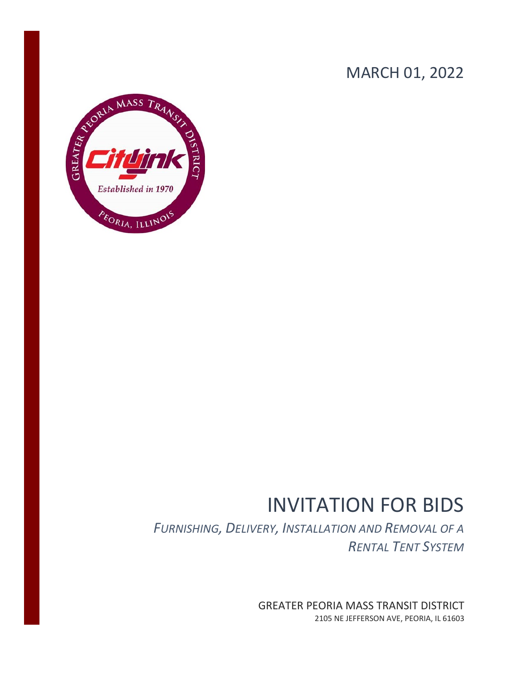## MARCH 01, 2022



# INVITATION FOR BIDS

*FURNISHING, DELIVERY, INSTALLATION AND REMOVAL OF A RENTAL TENT SYSTEM*

> GREATER PEORIA MASS TRANSIT DISTRICT 2105 NE JEFFERSON AVE, PEORIA, IL 61603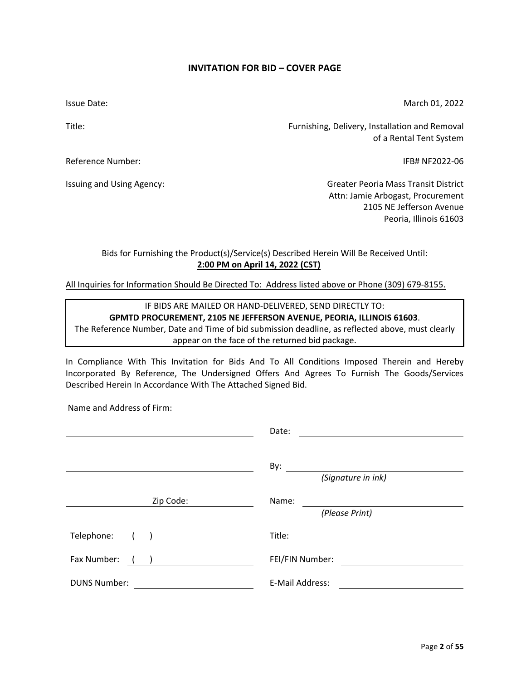Page **2** of **55**

#### **INVITATION FOR BID – COVER PAGE**

<span id="page-1-0"></span>Issue Date:

Title:

Reference Number:

Issuing and Using Agency:

IFB# NF2022-06

Furnishing, Delivery, Installation and Removal

Greater Peoria Mass Transit District Attn: Jamie Arbogast, Procurement 2105 NE Jefferson Avenue Peoria, Illinois 61603

## Bids for Furnishing the Product(s)/Service(s) Described Herein Will Be Received Until: **2:00 PM on April 14, 2022 (CST)**

All Inquiries for Information Should Be Directed To: Address listed above or Phone (309) 679-8155.

IF BIDS ARE MAILED OR HAND-DELIVERED, SEND DIRECTLY TO: **GPMTD PROCUREMENT, 2105 NE JEFFERSON AVENUE, PEORIA, ILLINOIS 61603**. The Reference Number, Date and Time of bid submission deadline, as reflected above, must clearly appear on the face of the returned bid package.

In Compliance With This Invitation for Bids And To All Conditions Imposed Therein and Hereby Incorporated By Reference, The Undersigned Offers And Agrees To Furnish The Goods/Services Described Herein In Accordance With The Attached Signed Bid.

Name and Address of Firm:

|                     | Date:                   |
|---------------------|-------------------------|
|                     | By:                     |
|                     | (Signature in ink)      |
| Zip Code:           | Name:<br>(Please Print) |
|                     |                         |
| Telephone:          | Title:                  |
| Fax Number:         | FEI/FIN Number:         |
| <b>DUNS Number:</b> | E-Mail Address:         |

March 01, 2022

of a Rental Tent System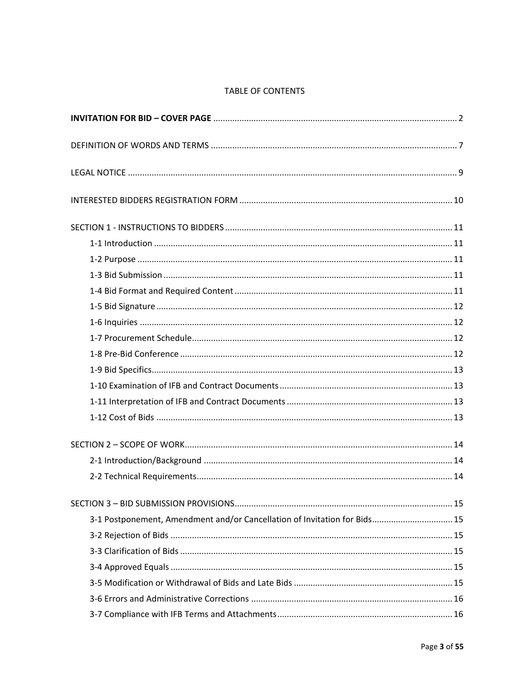## TABLE OF CONTENTS

| 3-1 Postponement, Amendment and/or Cancellation of Invitation for Bids 15 |  |
|---------------------------------------------------------------------------|--|
|                                                                           |  |
|                                                                           |  |
|                                                                           |  |
|                                                                           |  |
|                                                                           |  |
|                                                                           |  |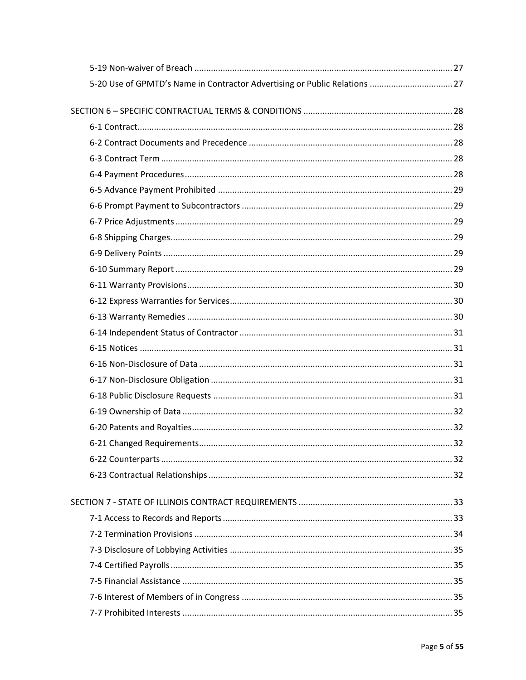| 5-20 Use of GPMTD's Name in Contractor Advertising or Public Relations  27 |    |
|----------------------------------------------------------------------------|----|
|                                                                            |    |
|                                                                            |    |
|                                                                            |    |
|                                                                            |    |
|                                                                            |    |
|                                                                            |    |
|                                                                            |    |
|                                                                            |    |
|                                                                            |    |
|                                                                            |    |
|                                                                            |    |
|                                                                            |    |
|                                                                            |    |
|                                                                            |    |
|                                                                            |    |
|                                                                            |    |
|                                                                            |    |
|                                                                            |    |
|                                                                            |    |
|                                                                            |    |
|                                                                            |    |
|                                                                            |    |
|                                                                            | 32 |
|                                                                            |    |
|                                                                            |    |
|                                                                            |    |
|                                                                            |    |
|                                                                            |    |
|                                                                            |    |
|                                                                            |    |
|                                                                            |    |
|                                                                            |    |
|                                                                            |    |
|                                                                            |    |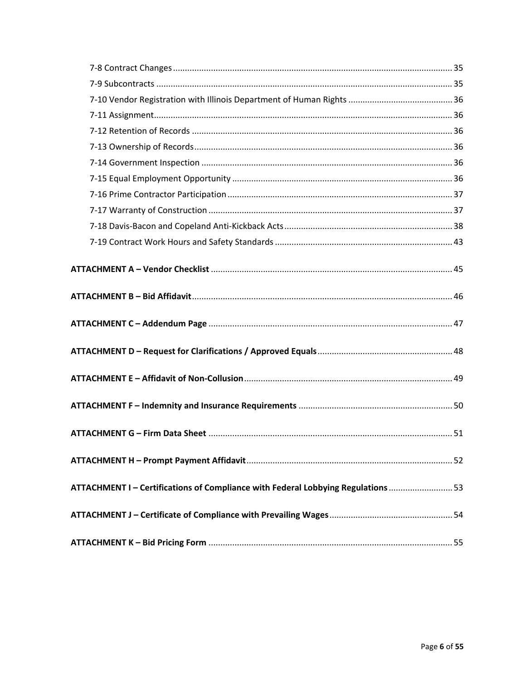| ATTACHMENT I - Certifications of Compliance with Federal Lobbying Regulations  53 |  |
|-----------------------------------------------------------------------------------|--|
|                                                                                   |  |
|                                                                                   |  |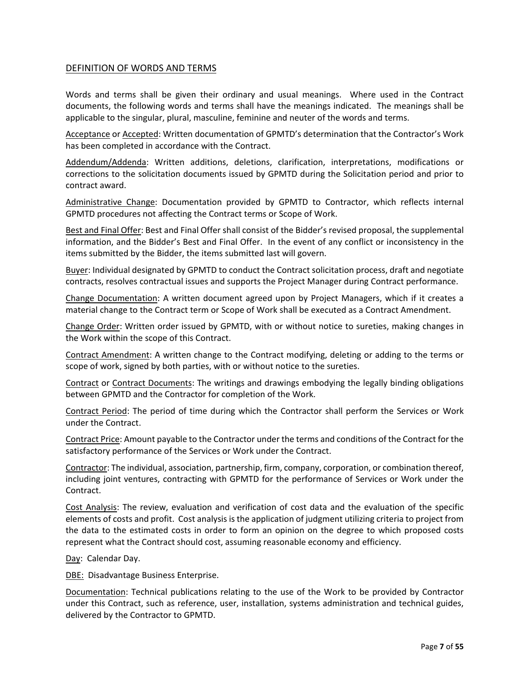#### <span id="page-6-0"></span>DEFINITION OF WORDS AND TERMS

Words and terms shall be given their ordinary and usual meanings. Where used in the Contract documents, the following words and terms shall have the meanings indicated. The meanings shall be applicable to the singular, plural, masculine, feminine and neuter of the words and terms.

Acceptance or Accepted: Written documentation of GPMTD's determination that the Contractor's Work has been completed in accordance with the Contract.

Addendum/Addenda: Written additions, deletions, clarification, interpretations, modifications or corrections to the solicitation documents issued by GPMTD during the Solicitation period and prior to contract award.

Administrative Change: Documentation provided by GPMTD to Contractor, which reflects internal GPMTD procedures not affecting the Contract terms or Scope of Work.

Best and Final Offer: Best and Final Offer shall consist of the Bidder's revised proposal, the supplemental information, and the Bidder's Best and Final Offer. In the event of any conflict or inconsistency in the items submitted by the Bidder, the items submitted last will govern.

Buyer: Individual designated by GPMTD to conduct the Contract solicitation process, draft and negotiate contracts, resolves contractual issues and supports the Project Manager during Contract performance.

Change Documentation: A written document agreed upon by Project Managers, which if it creates a material change to the Contract term or Scope of Work shall be executed as a Contract Amendment.

Change Order: Written order issued by GPMTD, with or without notice to sureties, making changes in the Work within the scope of this Contract.

Contract Amendment: A written change to the Contract modifying, deleting or adding to the terms or scope of work, signed by both parties, with or without notice to the sureties.

Contract or Contract Documents: The writings and drawings embodying the legally binding obligations between GPMTD and the Contractor for completion of the Work.

Contract Period: The period of time during which the Contractor shall perform the Services or Work under the Contract.

Contract Price: Amount payable to the Contractor under the terms and conditions of the Contract for the satisfactory performance of the Services or Work under the Contract.

Contractor: The individual, association, partnership, firm, company, corporation, or combination thereof, including joint ventures, contracting with GPMTD for the performance of Services or Work under the Contract.

Cost Analysis: The review, evaluation and verification of cost data and the evaluation of the specific elements of costs and profit. Cost analysis is the application of judgment utilizing criteria to project from the data to the estimated costs in order to form an opinion on the degree to which proposed costs represent what the Contract should cost, assuming reasonable economy and efficiency.

Day: Calendar Day.

DBE: Disadvantage Business Enterprise.

Documentation: Technical publications relating to the use of the Work to be provided by Contractor under this Contract, such as reference, user, installation, systems administration and technical guides, delivered by the Contractor to GPMTD.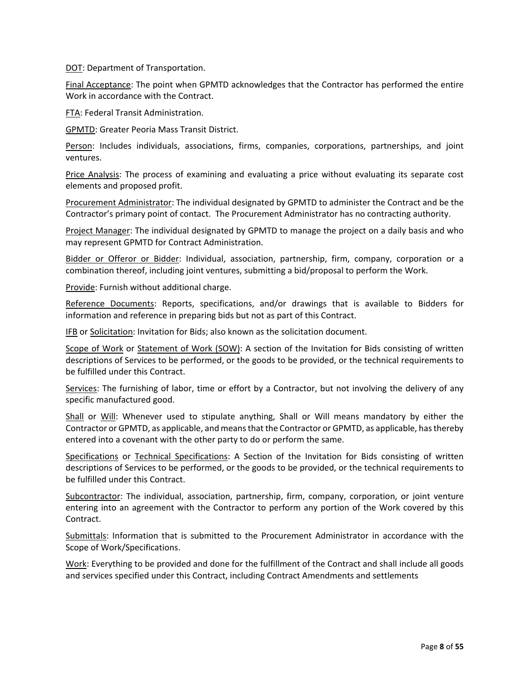DOT: Department of Transportation.

Final Acceptance: The point when GPMTD acknowledges that the Contractor has performed the entire Work in accordance with the Contract.

FTA: Federal Transit Administration.

GPMTD: Greater Peoria Mass Transit District.

Person: Includes individuals, associations, firms, companies, corporations, partnerships, and joint ventures.

Price Analysis: The process of examining and evaluating a price without evaluating its separate cost elements and proposed profit.

Procurement Administrator: The individual designated by GPMTD to administer the Contract and be the Contractor's primary point of contact. The Procurement Administrator has no contracting authority.

Project Manager: The individual designated by GPMTD to manage the project on a daily basis and who may represent GPMTD for Contract Administration.

Bidder or Offeror or Bidder: Individual, association, partnership, firm, company, corporation or a combination thereof, including joint ventures, submitting a bid/proposal to perform the Work.

Provide: Furnish without additional charge.

Reference Documents: Reports, specifications, and/or drawings that is available to Bidders for information and reference in preparing bids but not as part of this Contract.

IFB or Solicitation: Invitation for Bids; also known as the solicitation document.

Scope of Work or Statement of Work (SOW): A section of the Invitation for Bids consisting of written descriptions of Services to be performed, or the goods to be provided, or the technical requirements to be fulfilled under this Contract.

Services: The furnishing of labor, time or effort by a Contractor, but not involving the delivery of any specific manufactured good.

Shall or Will: Whenever used to stipulate anything, Shall or Will means mandatory by either the Contractor or GPMTD, as applicable, and means that the Contractor or GPMTD, as applicable, has thereby entered into a covenant with the other party to do or perform the same.

Specifications or Technical Specifications: A Section of the Invitation for Bids consisting of written descriptions of Services to be performed, or the goods to be provided, or the technical requirements to be fulfilled under this Contract.

Subcontractor: The individual, association, partnership, firm, company, corporation, or joint venture entering into an agreement with the Contractor to perform any portion of the Work covered by this Contract.

Submittals: Information that is submitted to the Procurement Administrator in accordance with the Scope of Work/Specifications.

Work: Everything to be provided and done for the fulfillment of the Contract and shall include all goods and services specified under this Contract, including Contract Amendments and settlements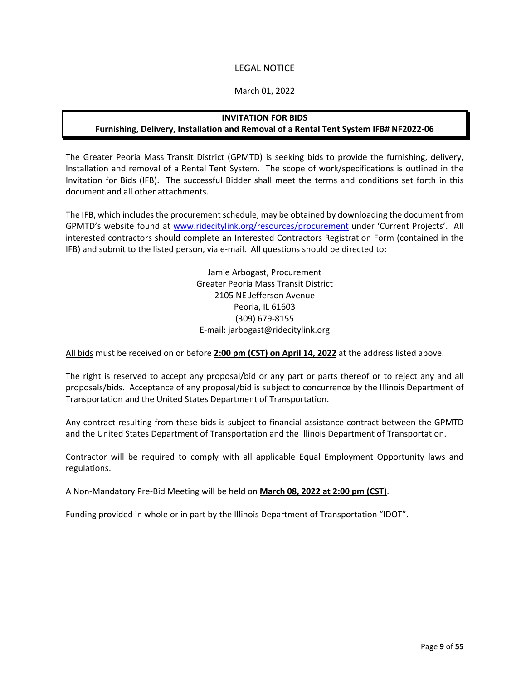## LEGAL NOTICE

#### March 01, 2022

#### **INVITATION FOR BIDS**

## <span id="page-8-0"></span>**Furnishing, Delivery, Installation and Removal of a Rental Tent System IFB# NF2022-06**

The Greater Peoria Mass Transit District (GPMTD) is seeking bids to provide the furnishing, delivery, Installation and removal of a Rental Tent System. The scope of work/specifications is outlined in the Invitation for Bids (IFB). The successful Bidder shall meet the terms and conditions set forth in this document and all other attachments.

The IFB, which includes the procurement schedule, may be obtained by downloading the document from GPMTD's website found at [www.ridecitylink.org/resources/procurement](http://www.ridecitylink.org/resources/procurement) under 'Current Projects'. All interested contractors should complete an Interested Contractors Registration Form (contained in the IFB) and submit to the listed person, via e-mail. All questions should be directed to:

> Jamie Arbogast, Procurement Greater Peoria Mass Transit District 2105 NE Jefferson Avenue Peoria, IL 61603 (309) 679-8155 E-mail: jarbogast@ridecitylink.org

All bids must be received on or before **2:00 pm (CST) on April 14, 2022** at the address listed above.

The right is reserved to accept any proposal/bid or any part or parts thereof or to reject any and all proposals/bids. Acceptance of any proposal/bid is subject to concurrence by the Illinois Department of Transportation and the United States Department of Transportation.

Any contract resulting from these bids is subject to financial assistance contract between the GPMTD and the United States Department of Transportation and the Illinois Department of Transportation.

Contractor will be required to comply with all applicable Equal Employment Opportunity laws and regulations.

A Non-Mandatory Pre-Bid Meeting will be held on **March 08, 2022 at 2:00 pm (CST)**.

Funding provided in whole or in part by the Illinois Department of Transportation "IDOT".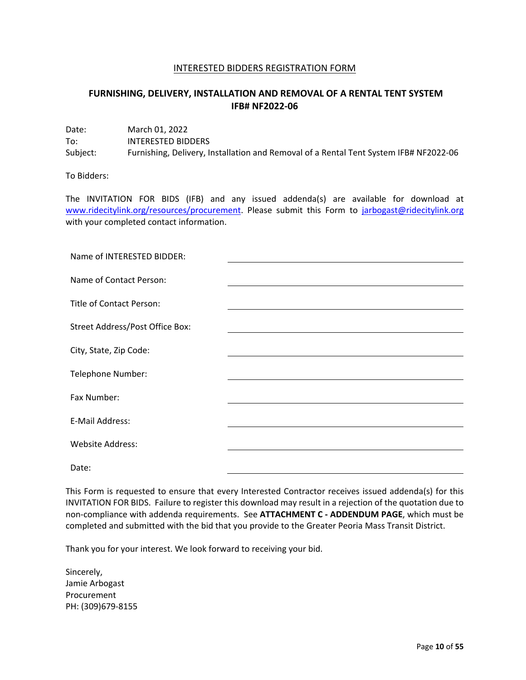#### INTERESTED BIDDERS REGISTRATION FORM

## <span id="page-9-0"></span>**FURNISHING, DELIVERY, INSTALLATION AND REMOVAL OF A RENTAL TENT SYSTEM IFB# NF2022-06**

Date: March 01, 2022 To: INTERESTED BIDDERS Subject: Furnishing, Delivery, Installation and Removal of a Rental Tent System IFB# NF2022-06

To Bidders:

The INVITATION FOR BIDS (IFB) and any issued addenda(s) are available for download at [www.ridecitylink.org/resources/procurement.](http://www.ridecitylink.org/resources/procurement) Please submit this Form to [jarbogast@ridecitylink.org](mailto:jarbogast@ridecitylink.org) with your completed contact information.

| Name of INTERESTED BIDDER:      |  |
|---------------------------------|--|
| Name of Contact Person:         |  |
| Title of Contact Person:        |  |
| Street Address/Post Office Box: |  |
| City, State, Zip Code:          |  |
| Telephone Number:               |  |
| Fax Number:                     |  |
| E-Mail Address:                 |  |
| <b>Website Address:</b>         |  |
| Date:                           |  |

This Form is requested to ensure that every Interested Contractor receives issued addenda(s) for this INVITATION FOR BIDS. Failure to register this download may result in a rejection of the quotation due to non-compliance with addenda requirements. See **ATTACHMENT C - ADDENDUM PAGE**, which must be completed and submitted with the bid that you provide to the Greater Peoria Mass Transit District.

Thank you for your interest. We look forward to receiving your bid.

Sincerely, Jamie Arbogast Procurement PH: (309)679-8155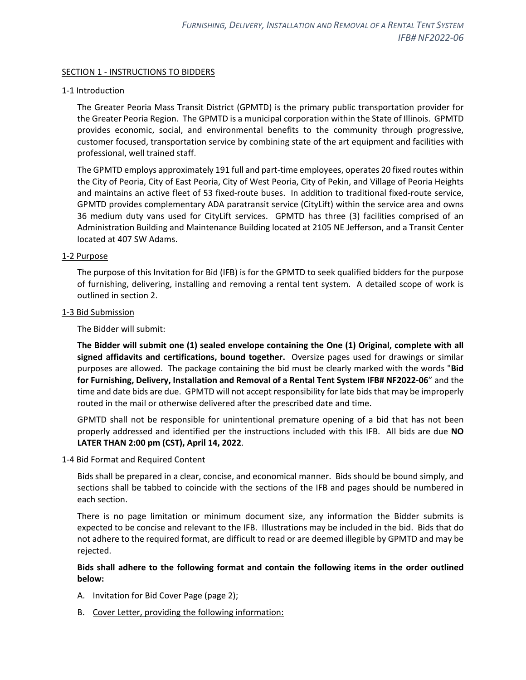#### <span id="page-10-0"></span>SECTION 1 - INSTRUCTIONS TO BIDDERS

#### <span id="page-10-1"></span>1-1 Introduction

The Greater Peoria Mass Transit District (GPMTD) is the primary public transportation provider for the Greater Peoria Region. The GPMTD is a municipal corporation within the State of Illinois. GPMTD provides economic, social, and environmental benefits to the community through progressive, customer focused, transportation service by combining state of the art equipment and facilities with professional, well trained staff.

The GPMTD employs approximately 191 full and part-time employees, operates 20 fixed routes within the City of Peoria, City of East Peoria, City of West Peoria, City of Pekin, and Village of Peoria Heights and maintains an active fleet of 53 fixed-route buses. In addition to traditional fixed-route service, GPMTD provides complementary ADA paratransit service (CityLift) within the service area and owns 36 medium duty vans used for CityLift services. GPMTD has three (3) facilities comprised of an Administration Building and Maintenance Building located at 2105 NE Jefferson, and a Transit Center located at 407 SW Adams.

#### <span id="page-10-2"></span>1-2 Purpose

The purpose of this Invitation for Bid (IFB) is for the GPMTD to seek qualified bidders for the purpose of furnishing, delivering, installing and removing a rental tent system. A detailed scope of work is outlined in section 2.

#### <span id="page-10-3"></span>1-3 Bid Submission

The Bidder will submit:

**The Bidder will submit one (1) sealed envelope containing the One (1) Original, complete with all signed affidavits and certifications, bound together.** Oversize pages used for drawings or similar purposes are allowed. The package containing the bid must be clearly marked with the words "**Bid for Furnishing, Delivery, Installation and Removal of a Rental Tent System IFB# NF2022-06**" and the time and date bids are due. GPMTD will not accept responsibility for late bids that may be improperly routed in the mail or otherwise delivered after the prescribed date and time.

GPMTD shall not be responsible for unintentional premature opening of a bid that has not been properly addressed and identified per the instructions included with this IFB. All bids are due **NO LATER THAN 2:00 pm (CST), April 14, 2022**.

#### <span id="page-10-4"></span>1-4 Bid Format and Required Content

Bids shall be prepared in a clear, concise, and economical manner. Bids should be bound simply, and sections shall be tabbed to coincide with the sections of the IFB and pages should be numbered in each section.

There is no page limitation or minimum document size, any information the Bidder submits is expected to be concise and relevant to the IFB. Illustrations may be included in the bid. Bids that do not adhere to the required format, are difficult to read or are deemed illegible by GPMTD and may be rejected.

## **Bids shall adhere to the following format and contain the following items in the order outlined below:**

- A. Invitation for Bid Cover Page (page 2);
- B. Cover Letter, providing the following information: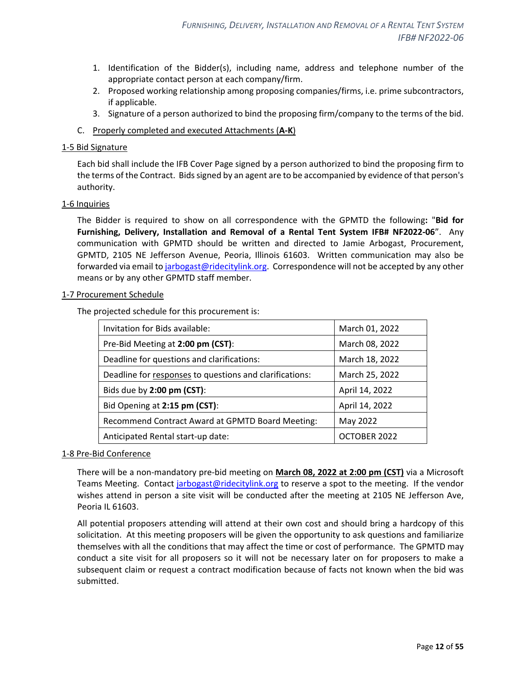- 1. Identification of the Bidder(s), including name, address and telephone number of the appropriate contact person at each company/firm.
- 2. Proposed working relationship among proposing companies/firms, i.e. prime subcontractors, if applicable.
- 3. Signature of a person authorized to bind the proposing firm/company to the terms of the bid.
- C. Properly completed and executed Attachments (**A-K**)

#### <span id="page-11-0"></span>1-5 Bid Signature

Each bid shall include the IFB Cover Page signed by a person authorized to bind the proposing firm to the terms of the Contract. Bids signed by an agent are to be accompanied by evidence of that person's authority.

#### <span id="page-11-1"></span>1-6 Inquiries

The Bidder is required to show on all correspondence with the GPMTD the following**:** "**Bid for Furnishing, Delivery, Installation and Removal of a Rental Tent System IFB# NF2022-06**". Any communication with GPMTD should be written and directed to Jamie Arbogast, Procurement, GPMTD, 2105 NE Jefferson Avenue, Peoria, Illinois 61603. Written communication may also be forwarded via email t[o jarbogast@ridecitylink.org.](mailto:jarbogast@ridecitylink.org) Correspondence will not be accepted by any other means or by any other GPMTD staff member.

#### <span id="page-11-2"></span>1-7 Procurement Schedule

The projected schedule for this procurement is:

| Invitation for Bids available:                          | March 01, 2022 |
|---------------------------------------------------------|----------------|
| Pre-Bid Meeting at 2:00 pm (CST):                       | March 08, 2022 |
| Deadline for questions and clarifications:              | March 18, 2022 |
| Deadline for responses to questions and clarifications: | March 25, 2022 |
| Bids due by 2:00 pm (CST):                              | April 14, 2022 |
| Bid Opening at 2:15 pm (CST):                           | April 14, 2022 |
| Recommend Contract Award at GPMTD Board Meeting:        | May 2022       |
| Anticipated Rental start-up date:                       | OCTOBER 2022   |

#### <span id="page-11-3"></span>1-8 Pre-Bid Conference

There will be a non-mandatory pre-bid meeting on **March 08, 2022 at 2:00 pm (CST)** via a Microsoft Teams Meeting. Contact [jarbogast@ridecitylink.org](mailto:jarbogast@ridecitylink.org) to reserve a spot to the meeting. If the vendor wishes attend in person a site visit will be conducted after the meeting at 2105 NE Jefferson Ave, Peoria IL 61603.

All potential proposers attending will attend at their own cost and should bring a hardcopy of this solicitation. At this meeting proposers will be given the opportunity to ask questions and familiarize themselves with all the conditions that may affect the time or cost of performance. The GPMTD may conduct a site visit for all proposers so it will not be necessary later on for proposers to make a subsequent claim or request a contract modification because of facts not known when the bid was submitted.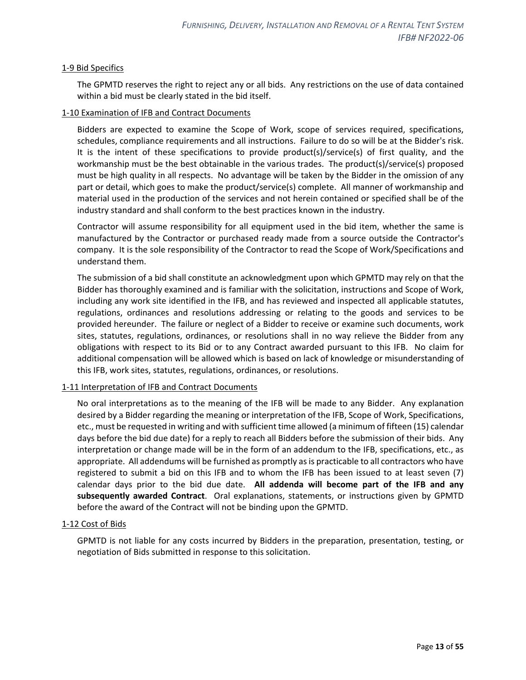#### <span id="page-12-0"></span>1-9 Bid Specifics

The GPMTD reserves the right to reject any or all bids. Any restrictions on the use of data contained within a bid must be clearly stated in the bid itself.

#### <span id="page-12-1"></span>1-10 Examination of IFB and Contract Documents

Bidders are expected to examine the Scope of Work, scope of services required, specifications, schedules, compliance requirements and all instructions. Failure to do so will be at the Bidder's risk. It is the intent of these specifications to provide product(s)/service(s) of first quality, and the workmanship must be the best obtainable in the various trades. The product(s)/service(s) proposed must be high quality in all respects. No advantage will be taken by the Bidder in the omission of any part or detail, which goes to make the product/service(s) complete. All manner of workmanship and material used in the production of the services and not herein contained or specified shall be of the industry standard and shall conform to the best practices known in the industry.

Contractor will assume responsibility for all equipment used in the bid item, whether the same is manufactured by the Contractor or purchased ready made from a source outside the Contractor's company. It is the sole responsibility of the Contractor to read the Scope of Work/Specifications and understand them.

The submission of a bid shall constitute an acknowledgment upon which GPMTD may rely on that the Bidder has thoroughly examined and is familiar with the solicitation, instructions and Scope of Work, including any work site identified in the IFB, and has reviewed and inspected all applicable statutes, regulations, ordinances and resolutions addressing or relating to the goods and services to be provided hereunder. The failure or neglect of a Bidder to receive or examine such documents, work sites, statutes, regulations, ordinances, or resolutions shall in no way relieve the Bidder from any obligations with respect to its Bid or to any Contract awarded pursuant to this IFB. No claim for additional compensation will be allowed which is based on lack of knowledge or misunderstanding of this IFB, work sites, statutes, regulations, ordinances, or resolutions.

#### <span id="page-12-2"></span>1-11 Interpretation of IFB and Contract Documents

No oral interpretations as to the meaning of the IFB will be made to any Bidder. Any explanation desired by a Bidder regarding the meaning or interpretation of the IFB, Scope of Work, Specifications, etc., must be requested in writing and with sufficient time allowed (a minimum of fifteen (15) calendar days before the bid due date) for a reply to reach all Bidders before the submission of their bids. Any interpretation or change made will be in the form of an addendum to the IFB, specifications, etc., as appropriate. All addendums will be furnished as promptly as is practicable to all contractors who have registered to submit a bid on this IFB and to whom the IFB has been issued to at least seven (7) calendar days prior to the bid due date. **All addenda will become part of the IFB and any subsequently awarded Contract**. Oral explanations, statements, or instructions given by GPMTD before the award of the Contract will not be binding upon the GPMTD.

#### <span id="page-12-3"></span>1-12 Cost of Bids

GPMTD is not liable for any costs incurred by Bidders in the preparation, presentation, testing, or negotiation of Bids submitted in response to this solicitation.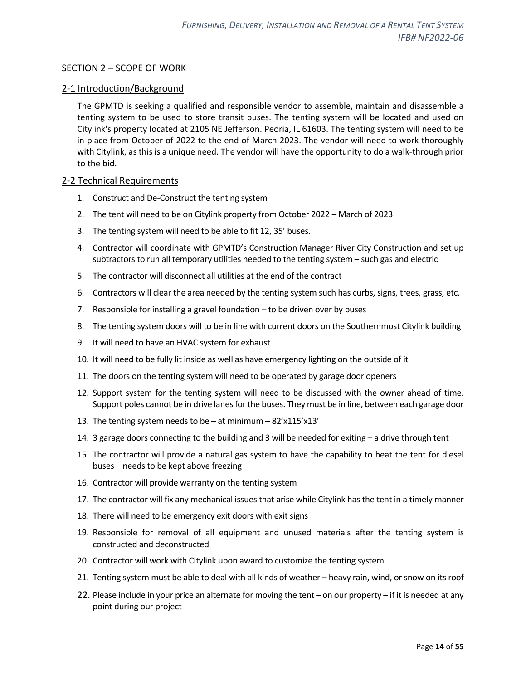## <span id="page-13-0"></span>SECTION 2 – SCOPE OF WORK

## <span id="page-13-1"></span>2-1 Introduction/Background

The GPMTD is seeking a qualified and responsible vendor to assemble, maintain and disassemble a tenting system to be used to store transit buses. The tenting system will be located and used on Citylink's property located at 2105 NE Jefferson. Peoria, IL 61603. The tenting system will need to be in place from October of 2022 to the end of March 2023. The vendor will need to work thoroughly with Citylink, as this is a unique need. The vendor will have the opportunity to do a walk-through prior to the bid.

#### <span id="page-13-2"></span>2-2 Technical Requirements

- 1. Construct and De-Construct the tenting system
- 2. The tent will need to be on Citylink property from October 2022 March of 2023
- 3. The tenting system will need to be able to fit 12, 35' buses.
- 4. Contractor will coordinate with GPMTD's Construction Manager River City Construction and set up subtractors to run all temporary utilities needed to the tenting system – such gas and electric
- 5. The contractor will disconnect all utilities at the end of the contract
- 6. Contractors will clear the area needed by the tenting system such has curbs, signs, trees, grass, etc.
- 7. Responsible for installing a gravel foundation to be driven over by buses
- 8. The tenting system doors will to be in line with current doors on the Southernmost Citylink building
- 9. It will need to have an HVAC system for exhaust
- 10. It will need to be fully lit inside as well as have emergency lighting on the outside of it
- 11. The doors on the tenting system will need to be operated by garage door openers
- 12. Support system for the tenting system will need to be discussed with the owner ahead of time. Support poles cannot be in drive lanes for the buses. They must be in line, between each garage door
- 13. The tenting system needs to be  $-$  at minimum  $-82'x115'x13'$
- 14. 3 garage doors connecting to the building and 3 will be needed for exiting a drive through tent
- 15. The contractor will provide a natural gas system to have the capability to heat the tent for diesel buses – needs to be kept above freezing
- 16. Contractor will provide warranty on the tenting system
- 17. The contractor will fix any mechanical issues that arise while Citylink has the tent in a timely manner
- 18. There will need to be emergency exit doors with exit signs
- 19. Responsible for removal of all equipment and unused materials after the tenting system is constructed and deconstructed
- 20. Contractor will work with Citylink upon award to customize the tenting system
- 21. Tenting system must be able to deal with all kinds of weather heavy rain, wind, or snow on its roof
- 22. Please include in your price an alternate for moving the tent on our property if it is needed at any point during our project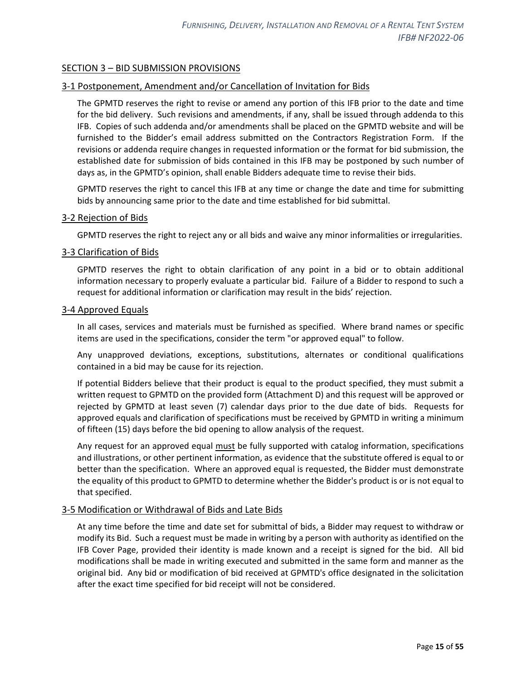## <span id="page-14-0"></span>SECTION 3 – BID SUBMISSION PROVISIONS

## <span id="page-14-1"></span>3-1 Postponement, Amendment and/or Cancellation of Invitation for Bids

The GPMTD reserves the right to revise or amend any portion of this IFB prior to the date and time for the bid delivery. Such revisions and amendments, if any, shall be issued through addenda to this IFB. Copies of such addenda and/or amendments shall be placed on the GPMTD website and will be furnished to the Bidder's email address submitted on the Contractors Registration Form. If the revisions or addenda require changes in requested information or the format for bid submission, the established date for submission of bids contained in this IFB may be postponed by such number of days as, in the GPMTD's opinion, shall enable Bidders adequate time to revise their bids.

GPMTD reserves the right to cancel this IFB at any time or change the date and time for submitting bids by announcing same prior to the date and time established for bid submittal.

#### <span id="page-14-2"></span>3-2 Rejection of Bids

GPMTD reserves the right to reject any or all bids and waive any minor informalities or irregularities.

#### <span id="page-14-3"></span>3-3 Clarification of Bids

GPMTD reserves the right to obtain clarification of any point in a bid or to obtain additional information necessary to properly evaluate a particular bid. Failure of a Bidder to respond to such a request for additional information or clarification may result in the bids' rejection.

#### <span id="page-14-4"></span>3-4 Approved Equals

In all cases, services and materials must be furnished as specified. Where brand names or specific items are used in the specifications, consider the term "or approved equal" to follow.

Any unapproved deviations, exceptions, substitutions, alternates or conditional qualifications contained in a bid may be cause for its rejection.

If potential Bidders believe that their product is equal to the product specified, they must submit a written request to GPMTD on the provided form (Attachment D) and this request will be approved or rejected by GPMTD at least seven (7) calendar days prior to the due date of bids. Requests for approved equals and clarification of specifications must be received by GPMTD in writing a minimum of fifteen (15) days before the bid opening to allow analysis of the request.

Any request for an approved equal must be fully supported with catalog information, specifications and illustrations, or other pertinent information, as evidence that the substitute offered is equal to or better than the specification. Where an approved equal is requested, the Bidder must demonstrate the equality of this product to GPMTD to determine whether the Bidder's product is or is not equal to that specified.

#### <span id="page-14-5"></span>3-5 Modification or Withdrawal of Bids and Late Bids

At any time before the time and date set for submittal of bids, a Bidder may request to withdraw or modify its Bid. Such a request must be made in writing by a person with authority as identified on the IFB Cover Page, provided their identity is made known and a receipt is signed for the bid. All bid modifications shall be made in writing executed and submitted in the same form and manner as the original bid. Any bid or modification of bid received at GPMTD's office designated in the solicitation after the exact time specified for bid receipt will not be considered.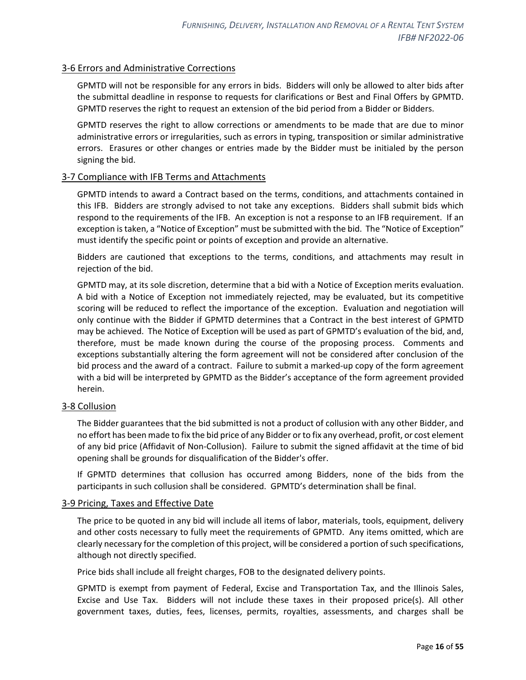## <span id="page-15-0"></span>3-6 Errors and Administrative Corrections

GPMTD will not be responsible for any errors in bids. Bidders will only be allowed to alter bids after the submittal deadline in response to requests for clarifications or Best and Final Offers by GPMTD. GPMTD reserves the right to request an extension of the bid period from a Bidder or Bidders.

GPMTD reserves the right to allow corrections or amendments to be made that are due to minor administrative errors or irregularities, such as errors in typing, transposition or similar administrative errors. Erasures or other changes or entries made by the Bidder must be initialed by the person signing the bid.

## <span id="page-15-1"></span>3-7 Compliance with IFB Terms and Attachments

GPMTD intends to award a Contract based on the terms, conditions, and attachments contained in this IFB. Bidders are strongly advised to not take any exceptions. Bidders shall submit bids which respond to the requirements of the IFB. An exception is not a response to an IFB requirement. If an exception is taken, a "Notice of Exception" must be submitted with the bid. The "Notice of Exception" must identify the specific point or points of exception and provide an alternative.

Bidders are cautioned that exceptions to the terms, conditions, and attachments may result in rejection of the bid.

GPMTD may, at its sole discretion, determine that a bid with a Notice of Exception merits evaluation. A bid with a Notice of Exception not immediately rejected, may be evaluated, but its competitive scoring will be reduced to reflect the importance of the exception. Evaluation and negotiation will only continue with the Bidder if GPMTD determines that a Contract in the best interest of GPMTD may be achieved. The Notice of Exception will be used as part of GPMTD's evaluation of the bid, and, therefore, must be made known during the course of the proposing process. Comments and exceptions substantially altering the form agreement will not be considered after conclusion of the bid process and the award of a contract. Failure to submit a marked-up copy of the form agreement with a bid will be interpreted by GPMTD as the Bidder's acceptance of the form agreement provided herein.

#### <span id="page-15-2"></span>3-8 Collusion

The Bidder guarantees that the bid submitted is not a product of collusion with any other Bidder, and no effort has been made to fix the bid price of any Bidder or to fix any overhead, profit, or cost element of any bid price (Affidavit of Non-Collusion). Failure to submit the signed affidavit at the time of bid opening shall be grounds for disqualification of the Bidder's offer.

If GPMTD determines that collusion has occurred among Bidders, none of the bids from the participants in such collusion shall be considered. GPMTD's determination shall be final.

#### <span id="page-15-3"></span>3-9 Pricing, Taxes and Effective Date

The price to be quoted in any bid will include all items of labor, materials, tools, equipment, delivery and other costs necessary to fully meet the requirements of GPMTD. Any items omitted, which are clearly necessary for the completion of this project, will be considered a portion of such specifications, although not directly specified.

Price bids shall include all freight charges, FOB to the designated delivery points.

GPMTD is exempt from payment of Federal, Excise and Transportation Tax, and the Illinois Sales, Excise and Use Tax. Bidders will not include these taxes in their proposed price(s). All other government taxes, duties, fees, licenses, permits, royalties, assessments, and charges shall be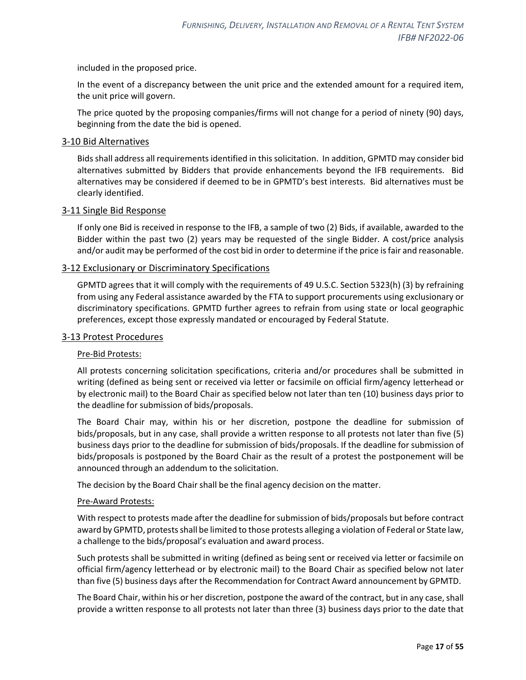included in the proposed price.

In the event of a discrepancy between the unit price and the extended amount for a required item, the unit price will govern.

The price quoted by the proposing companies/firms will not change for a period of ninety (90) days, beginning from the date the bid is opened.

#### <span id="page-16-0"></span>3-10 Bid Alternatives

Bids shall address all requirements identified in this solicitation. In addition, GPMTD may consider bid alternatives submitted by Bidders that provide enhancements beyond the IFB requirements. Bid alternatives may be considered if deemed to be in GPMTD's best interests. Bid alternatives must be clearly identified.

#### <span id="page-16-1"></span>3-11 Single Bid Response

If only one Bid is received in response to the IFB, a sample of two (2) Bids, if available, awarded to the Bidder within the past two (2) years may be requested of the single Bidder. A cost/price analysis and/or audit may be performed of the cost bid in order to determine if the price is fair and reasonable.

#### <span id="page-16-2"></span>3-12 Exclusionary or Discriminatory Specifications

GPMTD agrees that it will comply with the requirements of 49 U.S.C. Section 5323(h) (3) by refraining from using any Federal assistance awarded by the FTA to support procurements using exclusionary or discriminatory specifications. GPMTD further agrees to refrain from using state or local geographic preferences, except those expressly mandated or encouraged by Federal Statute.

#### <span id="page-16-3"></span>3-13 Protest Procedures

#### Pre-Bid Protests:

All protests concerning solicitation specifications, criteria and/or procedures shall be submitted in writing (defined as being sent or received via letter or facsimile on official firm/agency letterhead or by electronic mail) to the Board Chair as specified below not later than ten (10) business days prior to the deadline for submission of bids/proposals.

The Board Chair may, within his or her discretion, postpone the deadline for submission of bids/proposals, but in any case, shall provide a written response to all protests not later than five (5) business days prior to the deadline for submission of bids/proposals. If the deadline for submission of bids/proposals is postponed by the Board Chair as the result of a protest the postponement will be announced through an addendum to the solicitation.

The decision by the Board Chair shall be the final agency decision on the matter.

#### Pre-Award Protests:

With respect to protests made after the deadline for submission of bids/proposals but before contract award by GPMTD, protests shall be limited to those protests alleging a violation of Federal or State law, a challenge to the bids/proposal's evaluation and award process.

Such protests shall be submitted in writing (defined as being sent or received via letter or facsimile on official firm/agency letterhead or by electronic mail) to the Board Chair as specified below not later than five (5) business days after the Recommendation for Contract Award announcement by GPMTD.

The Board Chair, within his or her discretion, postpone the award of the contract, but in any case, shall provide a written response to all protests not later than three (3) business days prior to the date that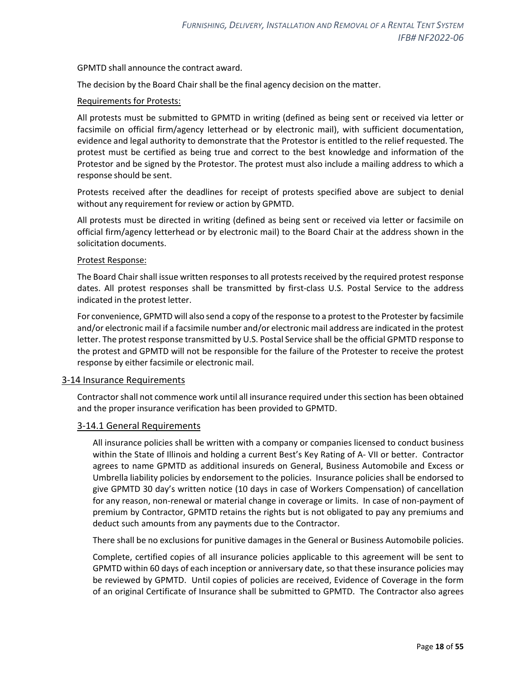GPMTD shall announce the contract award.

The decision by the Board Chair shall be the final agency decision on the matter.

#### Requirements for Protests:

All protests must be submitted to GPMTD in writing (defined as being sent or received via letter or facsimile on official firm/agency letterhead or by electronic mail), with sufficient documentation, evidence and legal authority to demonstrate that the Protestor is entitled to the relief requested. The protest must be certified as being true and correct to the best knowledge and information of the Protestor and be signed by the Protestor. The protest must also include a mailing address to which a response should be sent.

Protests received after the deadlines for receipt of protests specified above are subject to denial without any requirement for review or action by GPMTD.

All protests must be directed in writing (defined as being sent or received via letter or facsimile on official firm/agency letterhead or by electronic mail) to the Board Chair at the address shown in the solicitation documents.

#### Protest Response:

The Board Chair shall issue written responses to all protests received by the required protest response dates. All protest responses shall be transmitted by first-class U.S. Postal Service to the address indicated in the protest letter.

For convenience, GPMTD will also send a copy of the response to a protest to the Protester by facsimile and/or electronic mail if a facsimile number and/or electronic mail address are indicated in the protest letter. The protest response transmitted by U.S. Postal Service shall be the official GPMTD response to the protest and GPMTD will not be responsible for the failure of the Protester to receive the protest response by either facsimile or electronic mail.

#### <span id="page-17-0"></span>3-14 Insurance Requirements

Contractor shall not commence work until all insurance required under this section has been obtained and the proper insurance verification has been provided to GPMTD.

#### <span id="page-17-1"></span>3-14.1 General Requirements

All insurance policies shall be written with a company or companies licensed to conduct business within the State of Illinois and holding a current Best's Key Rating of A- VII or better. Contractor agrees to name GPMTD as additional insureds on General, Business Automobile and Excess or Umbrella liability policies by endorsement to the policies. Insurance policies shall be endorsed to give GPMTD 30 day's written notice (10 days in case of Workers Compensation) of cancellation for any reason, non-renewal or material change in coverage or limits. In case of non-payment of premium by Contractor, GPMTD retains the rights but is not obligated to pay any premiums and deduct such amounts from any payments due to the Contractor.

There shall be no exclusions for punitive damages in the General or Business Automobile policies.

Complete, certified copies of all insurance policies applicable to this agreement will be sent to GPMTD within 60 days of each inception or anniversary date, so that these insurance policies may be reviewed by GPMTD. Until copies of policies are received, Evidence of Coverage in the form of an original Certificate of Insurance shall be submitted to GPMTD. The Contractor also agrees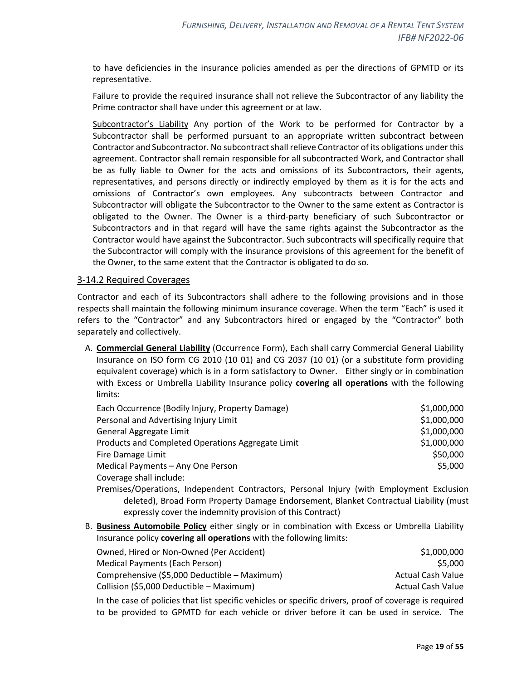to have deficiencies in the insurance policies amended as per the directions of GPMTD or its representative.

Failure to provide the required insurance shall not relieve the Subcontractor of any liability the Prime contractor shall have under this agreement or at law.

Subcontractor's Liability Any portion of the Work to be performed for Contractor by a Subcontractor shall be performed pursuant to an appropriate written subcontract between Contractor and Subcontractor. No subcontract shall relieve Contractor of its obligations under this agreement. Contractor shall remain responsible for all subcontracted Work, and Contractor shall be as fully liable to Owner for the acts and omissions of its Subcontractors, their agents, representatives, and persons directly or indirectly employed by them as it is for the acts and omissions of Contractor's own employees. Any subcontracts between Contractor and Subcontractor will obligate the Subcontractor to the Owner to the same extent as Contractor is obligated to the Owner. The Owner is a third-party beneficiary of such Subcontractor or Subcontractors and in that regard will have the same rights against the Subcontractor as the Contractor would have against the Subcontractor. Such subcontracts will specifically require that the Subcontractor will comply with the insurance provisions of this agreement for the benefit of the Owner, to the same extent that the Contractor is obligated to do so.

#### <span id="page-18-0"></span>3-14.2 Required Coverages

Contractor and each of its Subcontractors shall adhere to the following provisions and in those respects shall maintain the following minimum insurance coverage. When the term "Each" is used it refers to the "Contractor" and any Subcontractors hired or engaged by the "Contractor" both separately and collectively.

A. **Commercial General Liability** (Occurrence Form), Each shall carry Commercial General Liability Insurance on ISO form CG 2010 (10 01) and CG 2037 (10 01) (or a substitute form providing equivalent coverage) which is in a form satisfactory to Owner. Either singly or in combination with Excess or Umbrella Liability Insurance policy **covering all operations** with the following limits:

| Each Occurrence (Bodily Injury, Property Damage)  | \$1,000,000 |
|---------------------------------------------------|-------------|
| Personal and Advertising Injury Limit             | \$1,000,000 |
| General Aggregate Limit                           | \$1,000,000 |
| Products and Completed Operations Aggregate Limit | \$1,000,000 |
| Fire Damage Limit                                 | \$50,000    |
| Medical Payments - Any One Person                 | \$5,000     |
| Coverage shall include:                           |             |

- Premises/Operations, Independent Contractors, Personal Injury (with Employment Exclusion deleted), Broad Form Property Damage Endorsement, Blanket Contractual Liability (must expressly cover the indemnity provision of this Contract)
- B. **Business Automobile Policy** either singly or in combination with Excess or Umbrella Liability Insurance policy **covering all operations** with the following limits:

| Owned, Hired or Non-Owned (Per Accident)     | \$1,000,000              |
|----------------------------------------------|--------------------------|
| Medical Payments (Each Person)               | \$5.000                  |
| Comprehensive (\$5,000 Deductible - Maximum) | Actual Cash Value        |
| Collision (\$5,000 Deductible - Maximum)     | <b>Actual Cash Value</b> |
|                                              |                          |

In the case of policies that list specific vehicles or specific drivers, proof of coverage is required to be provided to GPMTD for each vehicle or driver before it can be used in service. The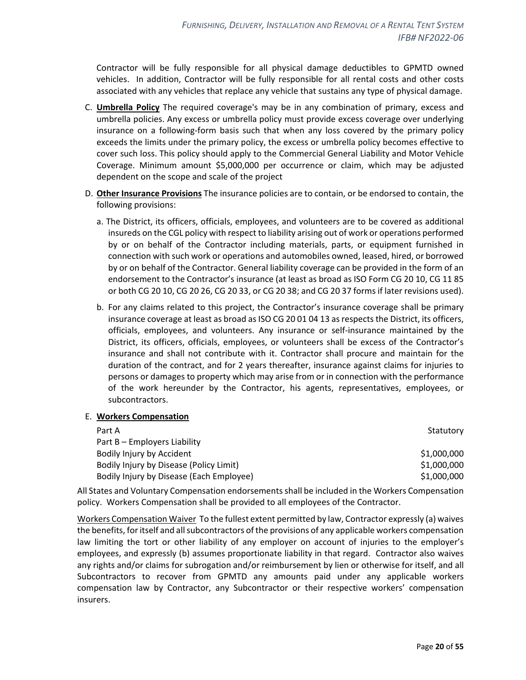Contractor will be fully responsible for all physical damage deductibles to GPMTD owned vehicles. In addition, Contractor will be fully responsible for all rental costs and other costs associated with any vehicles that replace any vehicle that sustains any type of physical damage.

- C. **Umbrella Policy** The required coverage's may be in any combination of primary, excess and umbrella policies. Any excess or umbrella policy must provide excess coverage over underlying insurance on a following-form basis such that when any loss covered by the primary policy exceeds the limits under the primary policy, the excess or umbrella policy becomes effective to cover such loss. This policy should apply to the Commercial General Liability and Motor Vehicle Coverage. Minimum amount \$5,000,000 per occurrence or claim, which may be adjusted dependent on the scope and scale of the project
- D. **Other Insurance Provisions** The insurance policies are to contain, or be endorsed to contain, the following provisions:
	- a. The District, its officers, officials, employees, and volunteers are to be covered as additional insureds on the CGL policy with respect to liability arising out of work or operations performed by or on behalf of the Contractor including materials, parts, or equipment furnished in connection with such work or operations and automobiles owned, leased, hired, or borrowed by or on behalf of the Contractor. General liability coverage can be provided in the form of an endorsement to the Contractor's insurance (at least as broad as ISO Form CG 20 10, CG 11 85 or both CG 20 10, CG 20 26, CG 20 33, or CG 20 38; and CG 20 37 forms if later revisions used).
	- b. For any claims related to this project, the Contractor's insurance coverage shall be primary insurance coverage at least as broad as ISO CG 20 01 04 13 as respects the District, its officers, officials, employees, and volunteers. Any insurance or self-insurance maintained by the District, its officers, officials, employees, or volunteers shall be excess of the Contractor's insurance and shall not contribute with it. Contractor shall procure and maintain for the duration of the contract, and for 2 years thereafter, insurance against claims for injuries to persons or damages to property which may arise from or in connection with the performance of the work hereunder by the Contractor, his agents, representatives, employees, or subcontractors.

#### E. **Workers Compensation**

| Part A                                   | Statutory   |
|------------------------------------------|-------------|
| Part B – Employers Liability             |             |
| Bodily Injury by Accident                | \$1,000,000 |
| Bodily Injury by Disease (Policy Limit)  | \$1,000,000 |
| Bodily Injury by Disease (Each Employee) | \$1,000,000 |

All States and Voluntary Compensation endorsements shall be included in the Workers Compensation policy. Workers Compensation shall be provided to all employees of the Contractor.

Workers Compensation Waiver To the fullest extent permitted by law, Contractor expressly (a) waives the benefits, for itself and all subcontractors of the provisions of any applicable workers compensation law limiting the tort or other liability of any employer on account of injuries to the employer's employees, and expressly (b) assumes proportionate liability in that regard. Contractor also waives any rights and/or claims for subrogation and/or reimbursement by lien or otherwise for itself, and all Subcontractors to recover from GPMTD any amounts paid under any applicable workers compensation law by Contractor, any Subcontractor or their respective workers' compensation insurers.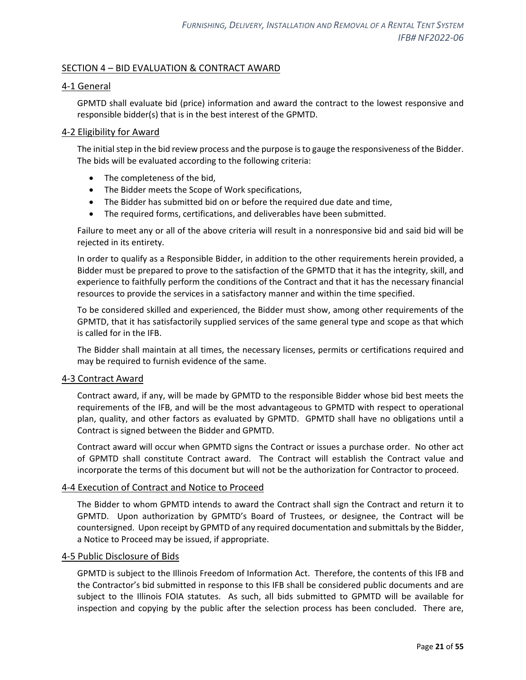## <span id="page-20-0"></span>SECTION 4 – BID EVALUATION & CONTRACT AWARD

#### <span id="page-20-1"></span>4-1 General

GPMTD shall evaluate bid (price) information and award the contract to the lowest responsive and responsible bidder(s) that is in the best interest of the GPMTD.

#### <span id="page-20-2"></span>4-2 Eligibility for Award

The initial step in the bid review process and the purpose is to gauge the responsiveness of the Bidder. The bids will be evaluated according to the following criteria:

- The completeness of the bid,
- The Bidder meets the Scope of Work specifications,
- The Bidder has submitted bid on or before the required due date and time,
- The required forms, certifications, and deliverables have been submitted.

Failure to meet any or all of the above criteria will result in a nonresponsive bid and said bid will be rejected in its entirety.

In order to qualify as a Responsible Bidder, in addition to the other requirements herein provided, a Bidder must be prepared to prove to the satisfaction of the GPMTD that it has the integrity, skill, and experience to faithfully perform the conditions of the Contract and that it has the necessary financial resources to provide the services in a satisfactory manner and within the time specified.

To be considered skilled and experienced, the Bidder must show, among other requirements of the GPMTD, that it has satisfactorily supplied services of the same general type and scope as that which is called for in the IFB.

The Bidder shall maintain at all times, the necessary licenses, permits or certifications required and may be required to furnish evidence of the same.

#### <span id="page-20-3"></span>4-3 Contract Award

Contract award, if any, will be made by GPMTD to the responsible Bidder whose bid best meets the requirements of the IFB, and will be the most advantageous to GPMTD with respect to operational plan, quality, and other factors as evaluated by GPMTD. GPMTD shall have no obligations until a Contract is signed between the Bidder and GPMTD.

Contract award will occur when GPMTD signs the Contract or issues a purchase order. No other act of GPMTD shall constitute Contract award. The Contract will establish the Contract value and incorporate the terms of this document but will not be the authorization for Contractor to proceed.

#### <span id="page-20-4"></span>4-4 Execution of Contract and Notice to Proceed

The Bidder to whom GPMTD intends to award the Contract shall sign the Contract and return it to GPMTD. Upon authorization by GPMTD's Board of Trustees, or designee, the Contract will be countersigned. Upon receipt by GPMTD of any required documentation and submittals by the Bidder, a Notice to Proceed may be issued, if appropriate.

#### <span id="page-20-5"></span>4-5 Public Disclosure of Bids

GPMTD is subject to the Illinois Freedom of Information Act. Therefore, the contents of this IFB and the Contractor's bid submitted in response to this IFB shall be considered public documents and are subject to the Illinois FOIA statutes. As such, all bids submitted to GPMTD will be available for inspection and copying by the public after the selection process has been concluded. There are,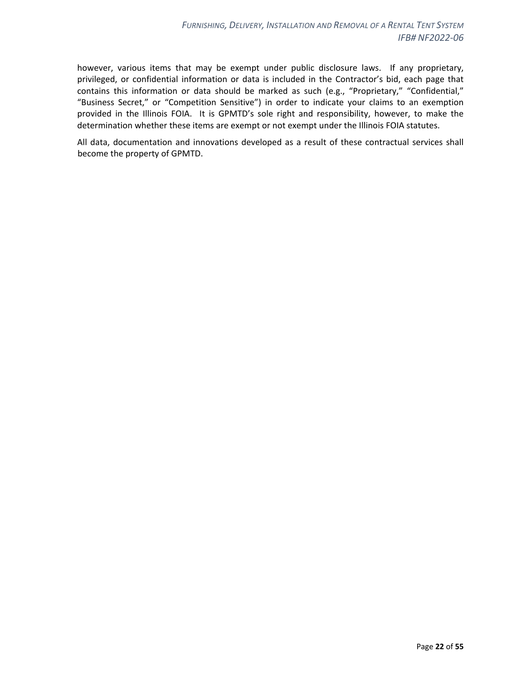however, various items that may be exempt under public disclosure laws. If any proprietary, privileged, or confidential information or data is included in the Contractor's bid, each page that contains this information or data should be marked as such (e.g., "Proprietary," "Confidential," "Business Secret," or "Competition Sensitive") in order to indicate your claims to an exemption provided in the Illinois FOIA. It is GPMTD's sole right and responsibility, however, to make the determination whether these items are exempt or not exempt under the Illinois FOIA statutes.

All data, documentation and innovations developed as a result of these contractual services shall become the property of GPMTD.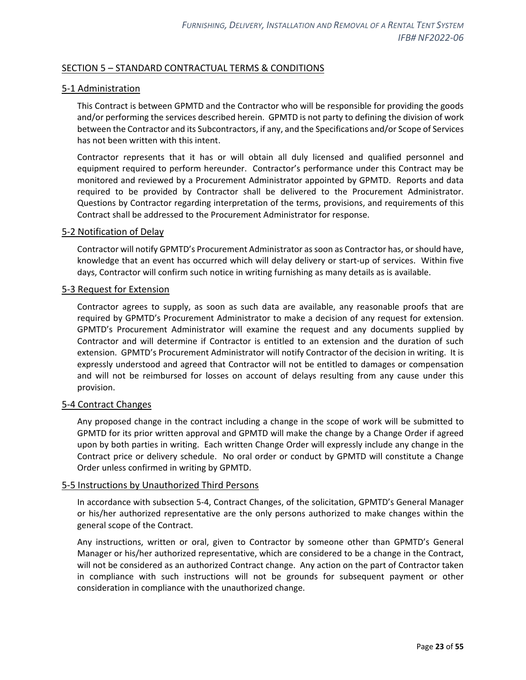## <span id="page-22-0"></span>SECTION 5 – STANDARD CONTRACTUAL TERMS & CONDITIONS

## <span id="page-22-1"></span>5-1 Administration

This Contract is between GPMTD and the Contractor who will be responsible for providing the goods and/or performing the services described herein. GPMTD is not party to defining the division of work between the Contractor and its Subcontractors, if any, and the Specifications and/or Scope of Services has not been written with this intent.

Contractor represents that it has or will obtain all duly licensed and qualified personnel and equipment required to perform hereunder. Contractor's performance under this Contract may be monitored and reviewed by a Procurement Administrator appointed by GPMTD. Reports and data required to be provided by Contractor shall be delivered to the Procurement Administrator. Questions by Contractor regarding interpretation of the terms, provisions, and requirements of this Contract shall be addressed to the Procurement Administrator for response.

#### <span id="page-22-2"></span>5-2 Notification of Delay

Contractor will notify GPMTD's Procurement Administrator as soon as Contractor has, or should have, knowledge that an event has occurred which will delay delivery or start-up of services. Within five days, Contractor will confirm such notice in writing furnishing as many details as is available.

#### <span id="page-22-3"></span>5-3 Request for Extension

Contractor agrees to supply, as soon as such data are available, any reasonable proofs that are required by GPMTD's Procurement Administrator to make a decision of any request for extension. GPMTD's Procurement Administrator will examine the request and any documents supplied by Contractor and will determine if Contractor is entitled to an extension and the duration of such extension. GPMTD's Procurement Administrator will notify Contractor of the decision in writing. It is expressly understood and agreed that Contractor will not be entitled to damages or compensation and will not be reimbursed for losses on account of delays resulting from any cause under this provision.

#### <span id="page-22-4"></span>5-4 Contract Changes

Any proposed change in the contract including a change in the scope of work will be submitted to GPMTD for its prior written approval and GPMTD will make the change by a Change Order if agreed upon by both parties in writing. Each written Change Order will expressly include any change in the Contract price or delivery schedule. No oral order or conduct by GPMTD will constitute a Change Order unless confirmed in writing by GPMTD.

#### <span id="page-22-5"></span>5-5 Instructions by Unauthorized Third Persons

In accordance with subsection 5-4, Contract Changes, of the solicitation, GPMTD's General Manager or his/her authorized representative are the only persons authorized to make changes within the general scope of the Contract.

Any instructions, written or oral, given to Contractor by someone other than GPMTD's General Manager or his/her authorized representative, which are considered to be a change in the Contract, will not be considered as an authorized Contract change. Any action on the part of Contractor taken in compliance with such instructions will not be grounds for subsequent payment or other consideration in compliance with the unauthorized change.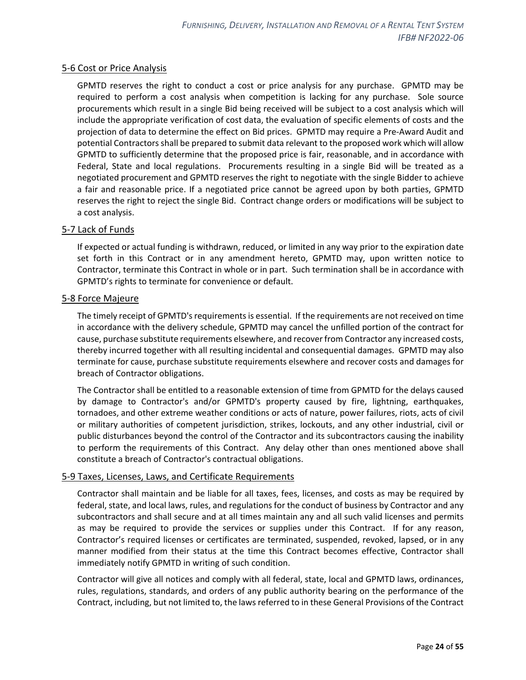## <span id="page-23-0"></span>5-6 Cost or Price Analysis

GPMTD reserves the right to conduct a cost or price analysis for any purchase. GPMTD may be required to perform a cost analysis when competition is lacking for any purchase. Sole source procurements which result in a single Bid being received will be subject to a cost analysis which will include the appropriate verification of cost data, the evaluation of specific elements of costs and the projection of data to determine the effect on Bid prices. GPMTD may require a Pre-Award Audit and potential Contractors shall be prepared to submit data relevant to the proposed work which will allow GPMTD to sufficiently determine that the proposed price is fair, reasonable, and in accordance with Federal, State and local regulations. Procurements resulting in a single Bid will be treated as a negotiated procurement and GPMTD reserves the right to negotiate with the single Bidder to achieve a fair and reasonable price. If a negotiated price cannot be agreed upon by both parties, GPMTD reserves the right to reject the single Bid. Contract change orders or modifications will be subject to a cost analysis.

## <span id="page-23-1"></span>5-7 Lack of Funds

If expected or actual funding is withdrawn, reduced, or limited in any way prior to the expiration date set forth in this Contract or in any amendment hereto, GPMTD may, upon written notice to Contractor, terminate this Contract in whole or in part. Such termination shall be in accordance with GPMTD's rights to terminate for convenience or default.

#### <span id="page-23-2"></span>5-8 Force Majeure

The timely receipt of GPMTD's requirements is essential. If the requirements are not received on time in accordance with the delivery schedule, GPMTD may cancel the unfilled portion of the contract for cause, purchase substitute requirements elsewhere, and recover from Contractor any increased costs, thereby incurred together with all resulting incidental and consequential damages. GPMTD may also terminate for cause, purchase substitute requirements elsewhere and recover costs and damages for breach of Contractor obligations.

The Contractor shall be entitled to a reasonable extension of time from GPMTD for the delays caused by damage to Contractor's and/or GPMTD's property caused by fire, lightning, earthquakes, tornadoes, and other extreme weather conditions or acts of nature, power failures, riots, acts of civil or military authorities of competent jurisdiction, strikes, lockouts, and any other industrial, civil or public disturbances beyond the control of the Contractor and its subcontractors causing the inability to perform the requirements of this Contract. Any delay other than ones mentioned above shall constitute a breach of Contractor's contractual obligations.

#### <span id="page-23-3"></span>5-9 Taxes, Licenses, Laws, and Certificate Requirements

Contractor shall maintain and be liable for all taxes, fees, licenses, and costs as may be required by federal, state, and local laws, rules, and regulations for the conduct of business by Contractor and any subcontractors and shall secure and at all times maintain any and all such valid licenses and permits as may be required to provide the services or supplies under this Contract. If for any reason, Contractor's required licenses or certificates are terminated, suspended, revoked, lapsed, or in any manner modified from their status at the time this Contract becomes effective, Contractor shall immediately notify GPMTD in writing of such condition.

Contractor will give all notices and comply with all federal, state, local and GPMTD laws, ordinances, rules, regulations, standards, and orders of any public authority bearing on the performance of the Contract, including, but not limited to, the laws referred to in these General Provisions of the Contract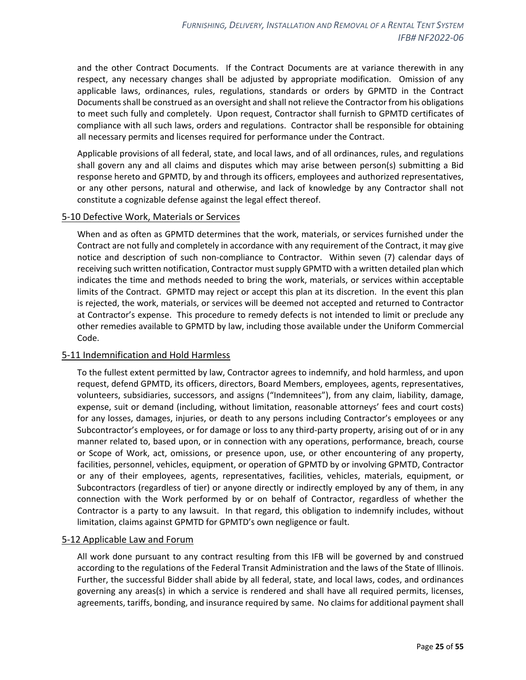and the other Contract Documents. If the Contract Documents are at variance therewith in any respect, any necessary changes shall be adjusted by appropriate modification. Omission of any applicable laws, ordinances, rules, regulations, standards or orders by GPMTD in the Contract Documents shall be construed as an oversight and shall not relieve the Contractor from his obligations to meet such fully and completely. Upon request, Contractor shall furnish to GPMTD certificates of compliance with all such laws, orders and regulations. Contractor shall be responsible for obtaining all necessary permits and licenses required for performance under the Contract.

Applicable provisions of all federal, state, and local laws, and of all ordinances, rules, and regulations shall govern any and all claims and disputes which may arise between person(s) submitting a Bid response hereto and GPMTD, by and through its officers, employees and authorized representatives, or any other persons, natural and otherwise, and lack of knowledge by any Contractor shall not constitute a cognizable defense against the legal effect thereof.

#### <span id="page-24-0"></span>5-10 Defective Work, Materials or Services

When and as often as GPMTD determines that the work, materials, or services furnished under the Contract are not fully and completely in accordance with any requirement of the Contract, it may give notice and description of such non-compliance to Contractor. Within seven (7) calendar days of receiving such written notification, Contractor must supply GPMTD with a written detailed plan which indicates the time and methods needed to bring the work, materials, or services within acceptable limits of the Contract. GPMTD may reject or accept this plan at its discretion. In the event this plan is rejected, the work, materials, or services will be deemed not accepted and returned to Contractor at Contractor's expense. This procedure to remedy defects is not intended to limit or preclude any other remedies available to GPMTD by law, including those available under the Uniform Commercial Code.

#### <span id="page-24-1"></span>5-11 Indemnification and Hold Harmless

To the fullest extent permitted by law, Contractor agrees to indemnify, and hold harmless, and upon request, defend GPMTD, its officers, directors, Board Members, employees, agents, representatives, volunteers, subsidiaries, successors, and assigns ("Indemnitees"), from any claim, liability, damage, expense, suit or demand (including, without limitation, reasonable attorneys' fees and court costs) for any losses, damages, injuries, or death to any persons including Contractor's employees or any Subcontractor's employees, or for damage or loss to any third-party property, arising out of or in any manner related to, based upon, or in connection with any operations, performance, breach, course or Scope of Work, act, omissions, or presence upon, use, or other encountering of any property, facilities, personnel, vehicles, equipment, or operation of GPMTD by or involving GPMTD, Contractor or any of their employees, agents, representatives, facilities, vehicles, materials, equipment, or Subcontractors (regardless of tier) or anyone directly or indirectly employed by any of them, in any connection with the Work performed by or on behalf of Contractor, regardless of whether the Contractor is a party to any lawsuit. In that regard, this obligation to indemnify includes, without limitation, claims against GPMTD for GPMTD's own negligence or fault.

#### <span id="page-24-2"></span>5-12 Applicable Law and Forum

All work done pursuant to any contract resulting from this IFB will be governed by and construed according to the regulations of the Federal Transit Administration and the laws of the State of Illinois. Further, the successful Bidder shall abide by all federal, state, and local laws, codes, and ordinances governing any areas(s) in which a service is rendered and shall have all required permits, licenses, agreements, tariffs, bonding, and insurance required by same. No claims for additional payment shall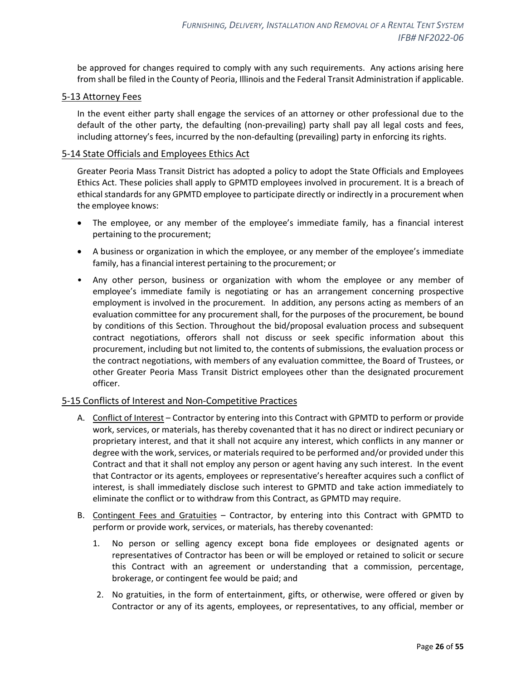be approved for changes required to comply with any such requirements. Any actions arising here from shall be filed in the County of Peoria, Illinois and the Federal Transit Administration if applicable.

## <span id="page-25-0"></span>5-13 Attorney Fees

In the event either party shall engage the services of an attorney or other professional due to the default of the other party, the defaulting (non-prevailing) party shall pay all legal costs and fees, including attorney's fees, incurred by the non-defaulting (prevailing) party in enforcing its rights.

## <span id="page-25-1"></span>5-14 State Officials and Employees Ethics Act

Greater Peoria Mass Transit District has adopted a policy to adopt the State Officials and Employees Ethics Act. These policies shall apply to GPMTD employees involved in procurement. It is a breach of ethical standards for any GPMTD employee to participate directly or indirectly in a procurement when the employee knows:

- The employee, or any member of the employee's immediate family, has a financial interest pertaining to the procurement;
- A business or organization in which the employee, or any member of the employee's immediate family, has a financial interest pertaining to the procurement; or
- Any other person, business or organization with whom the employee or any member of employee's immediate family is negotiating or has an arrangement concerning prospective employment is involved in the procurement. In addition, any persons acting as members of an evaluation committee for any procurement shall, for the purposes of the procurement, be bound by conditions of this Section. Throughout the bid/proposal evaluation process and subsequent contract negotiations, offerors shall not discuss or seek specific information about this procurement, including but not limited to, the contents of submissions, the evaluation process or the contract negotiations, with members of any evaluation committee, the Board of Trustees, or other Greater Peoria Mass Transit District employees other than the designated procurement officer.

#### <span id="page-25-2"></span>5-15 Conflicts of Interest and Non-Competitive Practices

- A. Conflict of Interest Contractor by entering into this Contract with GPMTD to perform or provide work, services, or materials, has thereby covenanted that it has no direct or indirect pecuniary or proprietary interest, and that it shall not acquire any interest, which conflicts in any manner or degree with the work, services, or materials required to be performed and/or provided under this Contract and that it shall not employ any person or agent having any such interest. In the event that Contractor or its agents, employees or representative's hereafter acquires such a conflict of interest, is shall immediately disclose such interest to GPMTD and take action immediately to eliminate the conflict or to withdraw from this Contract, as GPMTD may require.
- B. Contingent Fees and Gratuities Contractor, by entering into this Contract with GPMTD to perform or provide work, services, or materials, has thereby covenanted:
	- 1. No person or selling agency except bona fide employees or designated agents or representatives of Contractor has been or will be employed or retained to solicit or secure this Contract with an agreement or understanding that a commission, percentage, brokerage, or contingent fee would be paid; and
	- 2. No gratuities, in the form of entertainment, gifts, or otherwise, were offered or given by Contractor or any of its agents, employees, or representatives, to any official, member or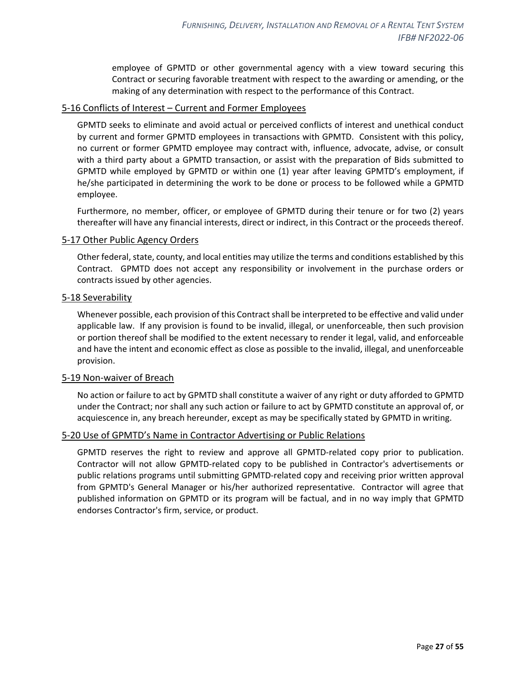employee of GPMTD or other governmental agency with a view toward securing this Contract or securing favorable treatment with respect to the awarding or amending, or the making of any determination with respect to the performance of this Contract.

#### <span id="page-26-0"></span>5-16 Conflicts of Interest – Current and Former Employees

GPMTD seeks to eliminate and avoid actual or perceived conflicts of interest and unethical conduct by current and former GPMTD employees in transactions with GPMTD. Consistent with this policy, no current or former GPMTD employee may contract with, influence, advocate, advise, or consult with a third party about a GPMTD transaction, or assist with the preparation of Bids submitted to GPMTD while employed by GPMTD or within one (1) year after leaving GPMTD's employment, if he/she participated in determining the work to be done or process to be followed while a GPMTD employee.

Furthermore, no member, officer, or employee of GPMTD during their tenure or for two (2) years thereafter will have any financial interests, direct or indirect, in this Contract or the proceeds thereof.

#### <span id="page-26-1"></span>5-17 Other Public Agency Orders

Other federal, state, county, and local entities may utilize the terms and conditions established by this Contract. GPMTD does not accept any responsibility or involvement in the purchase orders or contracts issued by other agencies.

#### <span id="page-26-2"></span>5-18 Severability

Whenever possible, each provision of this Contract shall be interpreted to be effective and valid under applicable law. If any provision is found to be invalid, illegal, or unenforceable, then such provision or portion thereof shall be modified to the extent necessary to render it legal, valid, and enforceable and have the intent and economic effect as close as possible to the invalid, illegal, and unenforceable provision.

#### <span id="page-26-3"></span>5-19 Non-waiver of Breach

No action or failure to act by GPMTD shall constitute a waiver of any right or duty afforded to GPMTD under the Contract; nor shall any such action or failure to act by GPMTD constitute an approval of, or acquiescence in, any breach hereunder, except as may be specifically stated by GPMTD in writing.

#### <span id="page-26-4"></span>5-20 Use of GPMTD's Name in Contractor Advertising or Public Relations

GPMTD reserves the right to review and approve all GPMTD-related copy prior to publication. Contractor will not allow GPMTD-related copy to be published in Contractor's advertisements or public relations programs until submitting GPMTD-related copy and receiving prior written approval from GPMTD's General Manager or his/her authorized representative. Contractor will agree that published information on GPMTD or its program will be factual, and in no way imply that GPMTD endorses Contractor's firm, service, or product.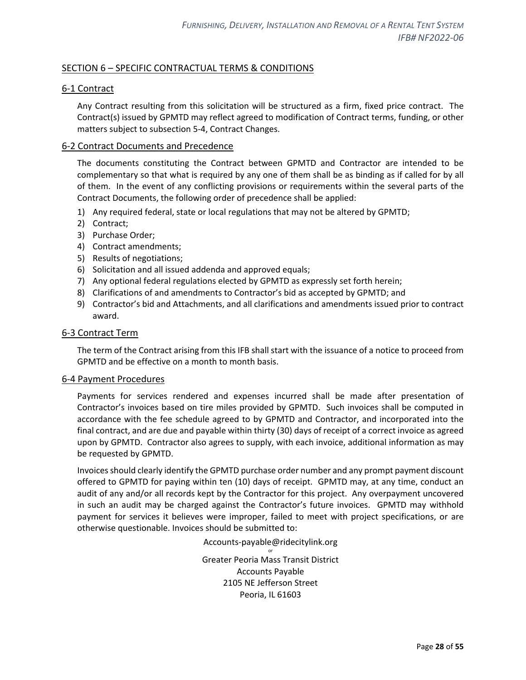## <span id="page-27-0"></span>SECTION 6 – SPECIFIC CONTRACTUAL TERMS & CONDITIONS

## <span id="page-27-1"></span>6-1 Contract

Any Contract resulting from this solicitation will be structured as a firm, fixed price contract. The Contract(s) issued by GPMTD may reflect agreed to modification of Contract terms, funding, or other matters subject to subsection 5-4, Contract Changes.

#### <span id="page-27-2"></span>6-2 Contract Documents and Precedence

The documents constituting the Contract between GPMTD and Contractor are intended to be complementary so that what is required by any one of them shall be as binding as if called for by all of them. In the event of any conflicting provisions or requirements within the several parts of the Contract Documents, the following order of precedence shall be applied:

- 1) Any required federal, state or local regulations that may not be altered by GPMTD;
- 2) Contract;
- 3) Purchase Order;
- 4) Contract amendments;
- 5) Results of negotiations;
- 6) Solicitation and all issued addenda and approved equals;
- 7) Any optional federal regulations elected by GPMTD as expressly set forth herein;
- 8) Clarifications of and amendments to Contractor's bid as accepted by GPMTD; and
- 9) Contractor's bid and Attachments, and all clarifications and amendments issued prior to contract award.

#### <span id="page-27-3"></span>6-3 Contract Term

The term of the Contract arising from this IFB shall start with the issuance of a notice to proceed from GPMTD and be effective on a month to month basis.

#### <span id="page-27-4"></span>6-4 Payment Procedures

Payments for services rendered and expenses incurred shall be made after presentation of Contractor's invoices based on tire miles provided by GPMTD. Such invoices shall be computed in accordance with the fee schedule agreed to by GPMTD and Contractor, and incorporated into the final contract, and are due and payable within thirty (30) days of receipt of a correct invoice as agreed upon by GPMTD. Contractor also agrees to supply, with each invoice, additional information as may be requested by GPMTD.

Invoices should clearly identify the GPMTD purchase order number and any prompt payment discount offered to GPMTD for paying within ten (10) days of receipt. GPMTD may, at any time, conduct an audit of any and/or all records kept by the Contractor for this project. Any overpayment uncovered in such an audit may be charged against the Contractor's future invoices. GPMTD may withhold payment for services it believes were improper, failed to meet with project specifications, or are otherwise questionable. Invoices should be submitted to:

> Accounts-payable@ridecitylink.org or

Greater Peoria Mass Transit District Accounts Payable 2105 NE Jefferson Street Peoria, IL 61603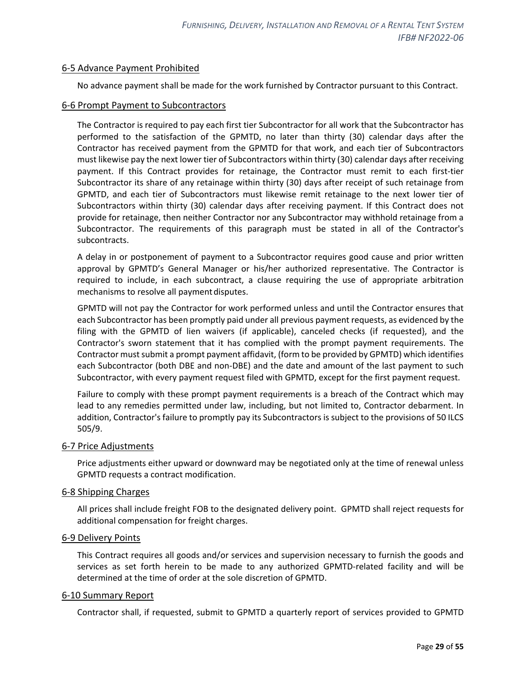#### <span id="page-28-0"></span>6-5 Advance Payment Prohibited

No advance payment shall be made for the work furnished by Contractor pursuant to this Contract.

#### <span id="page-28-1"></span>6-6 Prompt Payment to Subcontractors

The Contractor is required to pay each first tier Subcontractor for all work that the Subcontractor has performed to the satisfaction of the GPMTD, no later than thirty (30) calendar days after the Contractor has received payment from the GPMTD for that work, and each tier of Subcontractors must likewise pay the next lower tier of Subcontractors within thirty (30) calendar days after receiving payment. If this Contract provides for retainage, the Contractor must remit to each first-tier Subcontractor its share of any retainage within thirty (30) days after receipt of such retainage from GPMTD, and each tier of Subcontractors must likewise remit retainage to the next lower tier of Subcontractors within thirty (30) calendar days after receiving payment. If this Contract does not provide for retainage, then neither Contractor nor any Subcontractor may withhold retainage from a Subcontractor. The requirements of this paragraph must be stated in all of the Contractor's subcontracts.

A delay in or postponement of payment to a Subcontractor requires good cause and prior written approval by GPMTD's General Manager or his/her authorized representative. The Contractor is required to include, in each subcontract, a clause requiring the use of appropriate arbitration mechanisms to resolve all payment disputes.

GPMTD will not pay the Contractor for work performed unless and until the Contractor ensures that each Subcontractor has been promptly paid under all previous payment requests, as evidenced by the filing with the GPMTD of lien waivers (if applicable), canceled checks (if requested}, and the Contractor's sworn statement that it has complied with the prompt payment requirements. The Contractor must submit a prompt payment affidavit, (form to be provided by GPMTD) which identifies each Subcontractor (both DBE and non-DBE) and the date and amount of the last payment to such Subcontractor, with every payment request filed with GPMTD, except for the first payment request.

Failure to comply with these prompt payment requirements is a breach of the Contract which may lead to any remedies permitted under law, including, but not limited to, Contractor debarment. In addition, Contractor's failure to promptly pay its Subcontractors is subject to the provisions of 50 ILCS 505/9.

#### <span id="page-28-2"></span>6-7 Price Adjustments

Price adjustments either upward or downward may be negotiated only at the time of renewal unless GPMTD requests a contract modification.

#### <span id="page-28-3"></span>6-8 Shipping Charges

All prices shall include freight FOB to the designated delivery point. GPMTD shall reject requests for additional compensation for freight charges.

#### <span id="page-28-4"></span>6-9 Delivery Points

This Contract requires all goods and/or services and supervision necessary to furnish the goods and services as set forth herein to be made to any authorized GPMTD-related facility and will be determined at the time of order at the sole discretion of GPMTD.

#### <span id="page-28-5"></span>6-10 Summary Report

Contractor shall, if requested, submit to GPMTD a quarterly report of services provided to GPMTD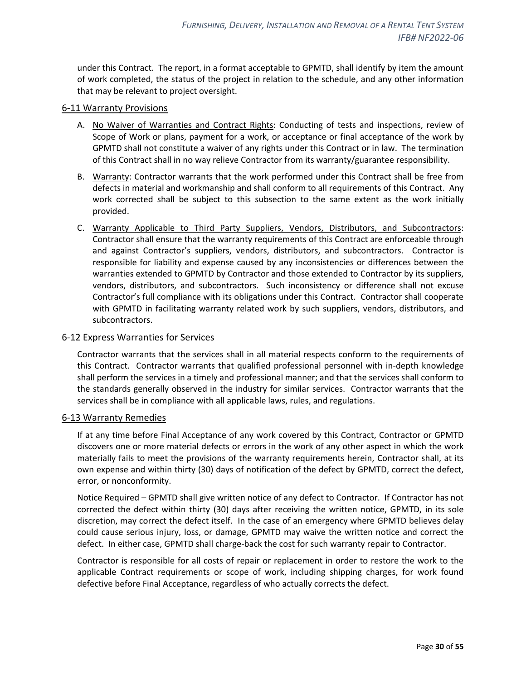under this Contract. The report, in a format acceptable to GPMTD, shall identify by item the amount of work completed, the status of the project in relation to the schedule, and any other information that may be relevant to project oversight.

#### <span id="page-29-0"></span>6-11 Warranty Provisions

- A. No Waiver of Warranties and Contract Rights: Conducting of tests and inspections, review of Scope of Work or plans, payment for a work, or acceptance or final acceptance of the work by GPMTD shall not constitute a waiver of any rights under this Contract or in law. The termination of this Contract shall in no way relieve Contractor from its warranty/guarantee responsibility.
- B. Warranty: Contractor warrants that the work performed under this Contract shall be free from defects in material and workmanship and shall conform to all requirements of this Contract. Any work corrected shall be subject to this subsection to the same extent as the work initially provided.
- C. Warranty Applicable to Third Party Suppliers, Vendors, Distributors, and Subcontractors: Contractor shall ensure that the warranty requirements of this Contract are enforceable through and against Contractor's suppliers, vendors, distributors, and subcontractors. Contractor is responsible for liability and expense caused by any inconsistencies or differences between the warranties extended to GPMTD by Contractor and those extended to Contractor by its suppliers, vendors, distributors, and subcontractors. Such inconsistency or difference shall not excuse Contractor's full compliance with its obligations under this Contract. Contractor shall cooperate with GPMTD in facilitating warranty related work by such suppliers, vendors, distributors, and subcontractors.

## <span id="page-29-1"></span>6-12 Express Warranties for Services

Contractor warrants that the services shall in all material respects conform to the requirements of this Contract. Contractor warrants that qualified professional personnel with in-depth knowledge shall perform the services in a timely and professional manner; and that the services shall conform to the standards generally observed in the industry for similar services. Contractor warrants that the services shall be in compliance with all applicable laws, rules, and regulations.

#### <span id="page-29-2"></span>6-13 Warranty Remedies

If at any time before Final Acceptance of any work covered by this Contract, Contractor or GPMTD discovers one or more material defects or errors in the work of any other aspect in which the work materially fails to meet the provisions of the warranty requirements herein, Contractor shall, at its own expense and within thirty (30) days of notification of the defect by GPMTD, correct the defect, error, or nonconformity.

Notice Required – GPMTD shall give written notice of any defect to Contractor. If Contractor has not corrected the defect within thirty (30) days after receiving the written notice, GPMTD, in its sole discretion, may correct the defect itself. In the case of an emergency where GPMTD believes delay could cause serious injury, loss, or damage, GPMTD may waive the written notice and correct the defect. In either case, GPMTD shall charge-back the cost for such warranty repair to Contractor.

Contractor is responsible for all costs of repair or replacement in order to restore the work to the applicable Contract requirements or scope of work, including shipping charges, for work found defective before Final Acceptance, regardless of who actually corrects the defect.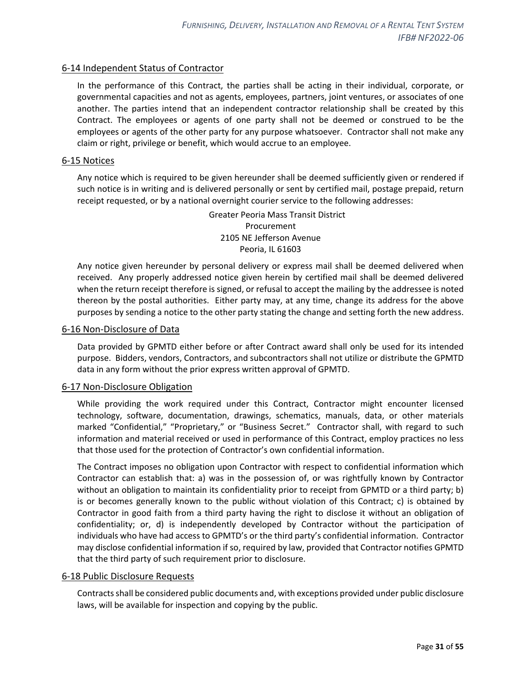## <span id="page-30-0"></span>6-14 Independent Status of Contractor

In the performance of this Contract, the parties shall be acting in their individual, corporate, or governmental capacities and not as agents, employees, partners, joint ventures, or associates of one another. The parties intend that an independent contractor relationship shall be created by this Contract. The employees or agents of one party shall not be deemed or construed to be the employees or agents of the other party for any purpose whatsoever. Contractor shall not make any claim or right, privilege or benefit, which would accrue to an employee.

## <span id="page-30-1"></span>6-15 Notices

Any notice which is required to be given hereunder shall be deemed sufficiently given or rendered if such notice is in writing and is delivered personally or sent by certified mail, postage prepaid, return receipt requested, or by a national overnight courier service to the following addresses:

> Greater Peoria Mass Transit District Procurement 2105 NE Jefferson Avenue Peoria, IL 61603

Any notice given hereunder by personal delivery or express mail shall be deemed delivered when received. Any properly addressed notice given herein by certified mail shall be deemed delivered when the return receipt therefore is signed, or refusal to accept the mailing by the addressee is noted thereon by the postal authorities. Either party may, at any time, change its address for the above purposes by sending a notice to the other party stating the change and setting forth the new address.

## <span id="page-30-2"></span>6-16 Non-Disclosure of Data

Data provided by GPMTD either before or after Contract award shall only be used for its intended purpose. Bidders, vendors, Contractors, and subcontractors shall not utilize or distribute the GPMTD data in any form without the prior express written approval of GPMTD.

#### <span id="page-30-3"></span>6-17 Non-Disclosure Obligation

While providing the work required under this Contract, Contractor might encounter licensed technology, software, documentation, drawings, schematics, manuals, data, or other materials marked "Confidential," "Proprietary," or "Business Secret." Contractor shall, with regard to such information and material received or used in performance of this Contract, employ practices no less that those used for the protection of Contractor's own confidential information.

The Contract imposes no obligation upon Contractor with respect to confidential information which Contractor can establish that: a) was in the possession of, or was rightfully known by Contractor without an obligation to maintain its confidentiality prior to receipt from GPMTD or a third party; b) is or becomes generally known to the public without violation of this Contract; c) is obtained by Contractor in good faith from a third party having the right to disclose it without an obligation of confidentiality; or, d) is independently developed by Contractor without the participation of individuals who have had access to GPMTD's or the third party's confidential information. Contractor may disclose confidential information if so, required by law, provided that Contractor notifies GPMTD that the third party of such requirement prior to disclosure.

#### <span id="page-30-4"></span>6-18 Public Disclosure Requests

Contracts shall be considered public documents and, with exceptions provided under public disclosure laws, will be available for inspection and copying by the public.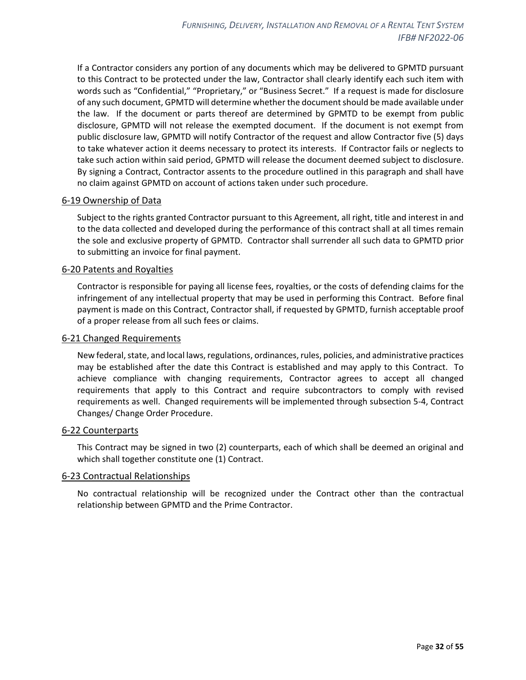If a Contractor considers any portion of any documents which may be delivered to GPMTD pursuant to this Contract to be protected under the law, Contractor shall clearly identify each such item with words such as "Confidential," "Proprietary," or "Business Secret." If a request is made for disclosure of any such document, GPMTD will determine whether the document should be made available under the law. If the document or parts thereof are determined by GPMTD to be exempt from public disclosure, GPMTD will not release the exempted document. If the document is not exempt from public disclosure law, GPMTD will notify Contractor of the request and allow Contractor five (5) days to take whatever action it deems necessary to protect its interests. If Contractor fails or neglects to take such action within said period, GPMTD will release the document deemed subject to disclosure. By signing a Contract, Contractor assents to the procedure outlined in this paragraph and shall have no claim against GPMTD on account of actions taken under such procedure.

#### <span id="page-31-0"></span>6-19 Ownership of Data

Subject to the rights granted Contractor pursuant to this Agreement, all right, title and interest in and to the data collected and developed during the performance of this contract shall at all times remain the sole and exclusive property of GPMTD. Contractor shall surrender all such data to GPMTD prior to submitting an invoice for final payment.

## <span id="page-31-1"></span>6-20 Patents and Royalties

Contractor is responsible for paying all license fees, royalties, or the costs of defending claims for the infringement of any intellectual property that may be used in performing this Contract. Before final payment is made on this Contract, Contractor shall, if requested by GPMTD, furnish acceptable proof of a proper release from all such fees or claims.

#### <span id="page-31-2"></span>6-21 Changed Requirements

New federal, state, and local laws, regulations, ordinances, rules, policies, and administrative practices may be established after the date this Contract is established and may apply to this Contract. To achieve compliance with changing requirements, Contractor agrees to accept all changed requirements that apply to this Contract and require subcontractors to comply with revised requirements as well. Changed requirements will be implemented through subsection 5-4, Contract Changes/ Change Order Procedure.

#### <span id="page-31-3"></span>6-22 Counterparts

This Contract may be signed in two (2) counterparts, each of which shall be deemed an original and which shall together constitute one (1) Contract.

#### <span id="page-31-4"></span>6-23 Contractual Relationships

No contractual relationship will be recognized under the Contract other than the contractual relationship between GPMTD and the Prime Contractor.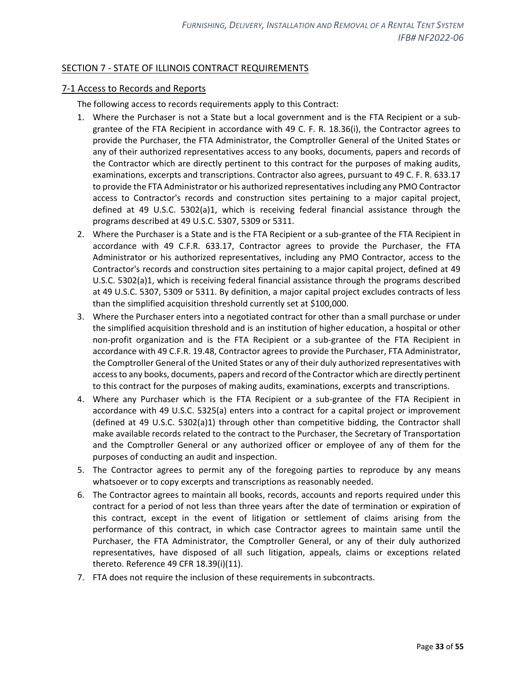## <span id="page-32-0"></span>SECTION 7 - STATE OF ILLINOIS CONTRACT REQUIREMENTS

#### <span id="page-32-1"></span>7-1 Access to Records and Reports

The following access to records requirements apply to this Contract:

- 1. Where the Purchaser is not a State but a local government and is the FTA Recipient or a subgrantee of the FTA Recipient in accordance with 49 C. F. R. 18.36(i), the Contractor agrees to provide the Purchaser, the FTA Administrator, the Comptroller General of the United States or any of their authorized representatives access to any books, documents, papers and records of the Contractor which are directly pertinent to this contract for the purposes of making audits, examinations, excerpts and transcriptions. Contractor also agrees, pursuant to 49 C. F. R. 633.17 to provide the FTA Administrator or his authorized representatives including any PMO Contractor access to Contractor's records and construction sites pertaining to a major capital project, defined at 49 U.S.C. 5302(a)1, which is receiving federal financial assistance through the programs described at 49 U.S.C. 5307, 5309 or 5311.
- 2. Where the Purchaser is a State and is the FTA Recipient or a sub-grantee of the FTA Recipient in accordance with 49 C.F.R. 633.17, Contractor agrees to provide the Purchaser, the FTA Administrator or his authorized representatives, including any PMO Contractor, access to the Contractor's records and construction sites pertaining to a major capital project, defined at 49 U.S.C. 5302(a)1, which is receiving federal financial assistance through the programs described at 49 U.S.C. 5307, 5309 or 5311. By definition, a major capital project excludes contracts of less than the simplified acquisition threshold currently set at \$100,000.
- 3. Where the Purchaser enters into a negotiated contract for other than a small purchase or under the simplified acquisition threshold and is an institution of higher education, a hospital or other non-profit organization and is the FTA Recipient or a sub-grantee of the FTA Recipient in accordance with 49 C.F.R. 19.48, Contractor agrees to provide the Purchaser, FTA Administrator, the Comptroller General of the United States or any of their duly authorized representatives with access to any books, documents, papers and record of the Contractor which are directly pertinent to this contract for the purposes of making audits, examinations, excerpts and transcriptions.
- 4. Where any Purchaser which is the FTA Recipient or a sub-grantee of the FTA Recipient in accordance with 49 U.S.C. 5325(a) enters into a contract for a capital project or improvement (defined at 49 U.S.C. 5302(a)1) through other than competitive bidding, the Contractor shall make available records related to the contract to the Purchaser, the Secretary of Transportation and the Comptroller General or any authorized officer or employee of any of them for the purposes of conducting an audit and inspection.
- 5. The Contractor agrees to permit any of the foregoing parties to reproduce by any means whatsoever or to copy excerpts and transcriptions as reasonably needed.
- 6. The Contractor agrees to maintain all books, records, accounts and reports required under this contract for a period of not less than three years after the date of termination or expiration of this contract, except in the event of litigation or settlement of claims arising from the performance of this contract, in which case Contractor agrees to maintain same until the Purchaser, the FTA Administrator, the Comptroller General, or any of their duly authorized representatives, have disposed of all such litigation, appeals, claims or exceptions related thereto. Reference 49 CFR 18.39(i)(11).
- 7. FTA does not require the inclusion of these requirements in subcontracts.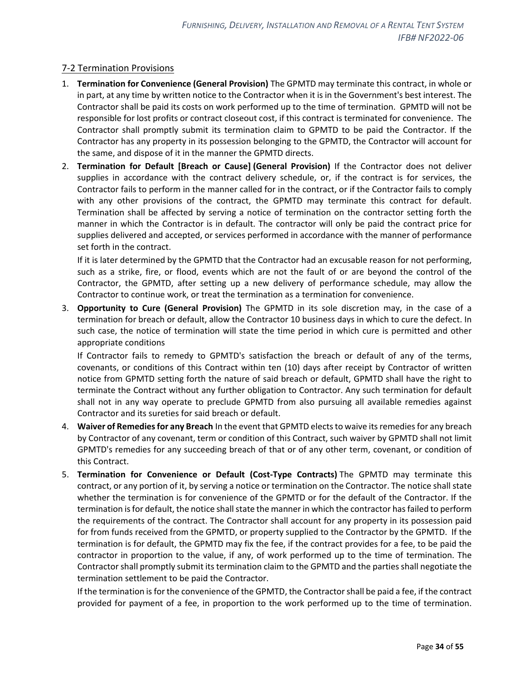## <span id="page-33-0"></span>7-2 Termination Provisions

- 1. **Termination for Convenience (General Provision)** The GPMTD may terminate this contract, in whole or in part, at any time by written notice to the Contractor when it is in the Government's best interest. The Contractor shall be paid its costs on work performed up to the time of termination. GPMTD will not be responsible for lost profits or contract closeout cost, if this contract is terminated for convenience. The Contractor shall promptly submit its termination claim to GPMTD to be paid the Contractor. If the Contractor has any property in its possession belonging to the GPMTD, the Contractor will account for the same, and dispose of it in the manner the GPMTD directs.
- 2. **Termination for Default [Breach or Cause] (General Provision)** If the Contractor does not deliver supplies in accordance with the contract delivery schedule, or, if the contract is for services, the Contractor fails to perform in the manner called for in the contract, or if the Contractor fails to comply with any other provisions of the contract, the GPMTD may terminate this contract for default. Termination shall be affected by serving a notice of termination on the contractor setting forth the manner in which the Contractor is in default. The contractor will only be paid the contract price for supplies delivered and accepted, or services performed in accordance with the manner of performance set forth in the contract.

If it is later determined by the GPMTD that the Contractor had an excusable reason for not performing, such as a strike, fire, or flood, events which are not the fault of or are beyond the control of the Contractor, the GPMTD, after setting up a new delivery of performance schedule, may allow the Contractor to continue work, or treat the termination as a termination for convenience.

3. **Opportunity to Cure (General Provision)** The GPMTD in its sole discretion may, in the case of a termination for breach or default, allow the Contractor 10 business days in which to cure the defect. In such case, the notice of termination will state the time period in which cure is permitted and other appropriate conditions

If Contractor fails to remedy to GPMTD's satisfaction the breach or default of any of the terms, covenants, or conditions of this Contract within ten (10) days after receipt by Contractor of written notice from GPMTD setting forth the nature of said breach or default, GPMTD shall have the right to terminate the Contract without any further obligation to Contractor. Any such termination for default shall not in any way operate to preclude GPMTD from also pursuing all available remedies against Contractor and its sureties for said breach or default.

- 4. **Waiver of Remediesfor any Breach** In the event that GPMTD elects to waive its remedies for any breach by Contractor of any covenant, term or condition of this Contract, such waiver by GPMTD shall not limit GPMTD's remedies for any succeeding breach of that or of any other term, covenant, or condition of this Contract.
- 5. **Termination for Convenience or Default (Cost-Type Contracts)** The GPMTD may terminate this contract, or any portion of it, by serving a notice or termination on the Contractor. The notice shall state whether the termination is for convenience of the GPMTD or for the default of the Contractor. If the termination is for default, the notice shall state the manner in which the contractor has failed to perform the requirements of the contract. The Contractor shall account for any property in its possession paid for from funds received from the GPMTD, or property supplied to the Contractor by the GPMTD. If the termination is for default, the GPMTD may fix the fee, if the contract provides for a fee, to be paid the contractor in proportion to the value, if any, of work performed up to the time of termination. The Contractor shall promptly submit its termination claim to the GPMTD and the parties shall negotiate the termination settlement to be paid the Contractor.

If the termination is for the convenience of the GPMTD, the Contractor shall be paid a fee, if the contract provided for payment of a fee, in proportion to the work performed up to the time of termination.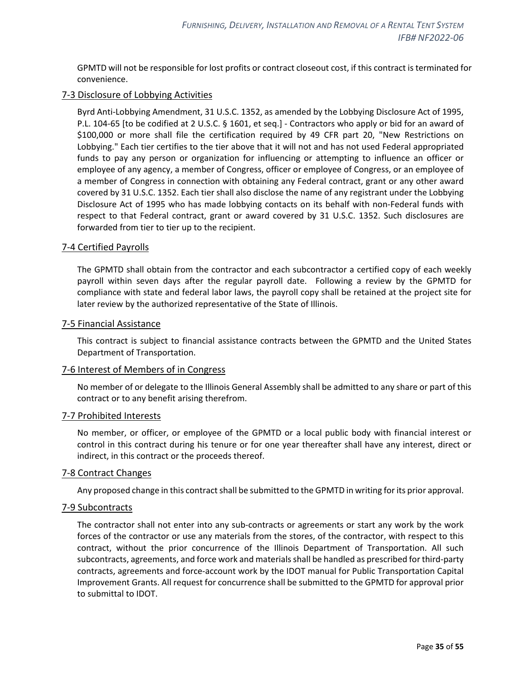GPMTD will not be responsible for lost profits or contract closeout cost, if this contract is terminated for convenience.

## <span id="page-34-0"></span>7-3 Disclosure of Lobbying Activities

Byrd Anti-Lobbying Amendment, 31 U.S.C. 1352, as amended by the Lobbying Disclosure Act of 1995, P.L. 104-65 [to be codified at 2 U.S.C. § 1601, et seq.] - Contractors who apply or bid for an award of \$100,000 or more shall file the certification required by 49 CFR part 20, "New Restrictions on Lobbying." Each tier certifies to the tier above that it will not and has not used Federal appropriated funds to pay any person or organization for influencing or attempting to influence an officer or employee of any agency, a member of Congress, officer or employee of Congress, or an employee of a member of Congress in connection with obtaining any Federal contract, grant or any other award covered by 31 U.S.C. 1352. Each tier shall also disclose the name of any registrant under the Lobbying Disclosure Act of 1995 who has made lobbying contacts on its behalf with non-Federal funds with respect to that Federal contract, grant or award covered by 31 U.S.C. 1352. Such disclosures are forwarded from tier to tier up to the recipient.

#### <span id="page-34-1"></span>7-4 Certified Payrolls

The GPMTD shall obtain from the contractor and each subcontractor a certified copy of each weekly payroll within seven days after the regular payroll date. Following a review by the GPMTD for compliance with state and federal labor laws, the payroll copy shall be retained at the project site for later review by the authorized representative of the State of Illinois.

#### <span id="page-34-2"></span>7-5 Financial Assistance

This contract is subject to financial assistance contracts between the GPMTD and the United States Department of Transportation.

#### <span id="page-34-3"></span>7-6 Interest of Members of in Congress

No member of or delegate to the Illinois General Assembly shall be admitted to any share or part of this contract or to any benefit arising therefrom.

#### <span id="page-34-4"></span>7-7 Prohibited Interests

No member, or officer, or employee of the GPMTD or a local public body with financial interest or control in this contract during his tenure or for one year thereafter shall have any interest, direct or indirect, in this contract or the proceeds thereof.

#### <span id="page-34-5"></span>7-8 Contract Changes

Any proposed change in this contract shall be submitted to the GPMTD in writing for its prior approval.

#### <span id="page-34-6"></span>7-9 Subcontracts

The contractor shall not enter into any sub-contracts or agreements or start any work by the work forces of the contractor or use any materials from the stores, of the contractor, with respect to this contract, without the prior concurrence of the Illinois Department of Transportation. All such subcontracts, agreements, and force work and materials shall be handled as prescribed for third-party contracts, agreements and force-account work by the IDOT manual for Public Transportation Capital Improvement Grants. All request for concurrence shall be submitted to the GPMTD for approval prior to submittal to IDOT.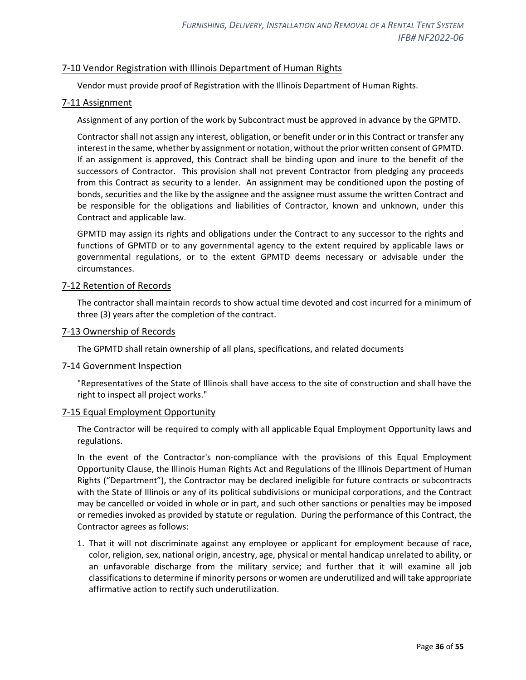## <span id="page-35-0"></span>7-10 Vendor Registration with Illinois Department of Human Rights

Vendor must provide proof of Registration with the Illinois Department of Human Rights.

#### <span id="page-35-1"></span>7-11 Assignment

Assignment of any portion of the work by Subcontract must be approved in advance by the GPMTD.

Contractor shall not assign any interest, obligation, or benefit under or in this Contract or transfer any interest in the same, whether by assignment or notation, without the prior written consent of GPMTD. If an assignment is approved, this Contract shall be binding upon and inure to the benefit of the successors of Contractor. This provision shall not prevent Contractor from pledging any proceeds from this Contract as security to a lender. An assignment may be conditioned upon the posting of bonds, securities and the like by the assignee and the assignee must assume the written Contract and be responsible for the obligations and liabilities of Contractor, known and unknown, under this Contract and applicable law.

GPMTD may assign its rights and obligations under the Contract to any successor to the rights and functions of GPMTD or to any governmental agency to the extent required by applicable laws or governmental regulations, or to the extent GPMTD deems necessary or advisable under the circumstances.

#### <span id="page-35-2"></span>7-12 Retention of Records

The contractor shall maintain records to show actual time devoted and cost incurred for a minimum of three (3) years after the completion of the contract.

#### <span id="page-35-3"></span>7-13 Ownership of Records

The GPMTD shall retain ownership of all plans, specifications, and related documents

#### <span id="page-35-4"></span>7-14 Government Inspection

"Representatives of the State of Illinois shall have access to the site of construction and shall have the right to inspect all project works."

#### <span id="page-35-5"></span>7-15 Equal Employment Opportunity

The Contractor will be required to comply with all applicable Equal Employment Opportunity laws and regulations.

In the event of the Contractor's non-compliance with the provisions of this Equal Employment Opportunity Clause, the Illinois Human Rights Act and Regulations of the Illinois Department of Human Rights ("Department"), the Contractor may be declared ineligible for future contracts or subcontracts with the State of Illinois or any of its political subdivisions or municipal corporations, and the Contract may be cancelled or voided in whole or in part, and such other sanctions or penalties may be imposed or remedies invoked as provided by statute or regulation. During the performance of this Contract, the Contractor agrees as follows:

1. That it will not discriminate against any employee or applicant for employment because of race, color, religion, sex, national origin, ancestry, age, physical or mental handicap unrelated to ability, or an unfavorable discharge from the military service; and further that it will examine all job classifications to determine if minority persons or women are underutilized and will take appropriate affirmative action to rectify such underutilization.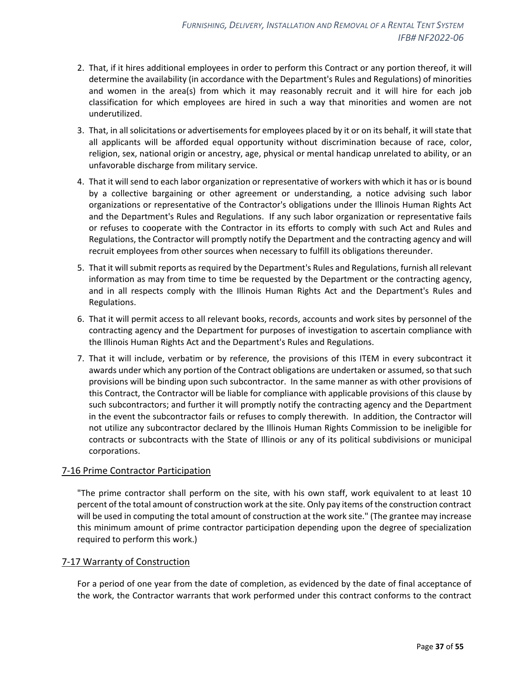- 2. That, if it hires additional employees in order to perform this Contract or any portion thereof, it will determine the availability (in accordance with the Department's Rules and Regulations) of minorities and women in the area(s) from which it may reasonably recruit and it will hire for each job classification for which employees are hired in such a way that minorities and women are not underutilized.
- 3. That, in all solicitations or advertisements for employees placed by it or on its behalf, it will state that all applicants will be afforded equal opportunity without discrimination because of race, color, religion, sex, national origin or ancestry, age, physical or mental handicap unrelated to ability, or an unfavorable discharge from military service.
- 4. That it will send to each labor organization or representative of workers with which it has or is bound by a collective bargaining or other agreement or understanding, a notice advising such labor organizations or representative of the Contractor's obligations under the Illinois Human Rights Act and the Department's Rules and Regulations. If any such labor organization or representative fails or refuses to cooperate with the Contractor in its efforts to comply with such Act and Rules and Regulations, the Contractor will promptly notify the Department and the contracting agency and will recruit employees from other sources when necessary to fulfill its obligations thereunder.
- 5. That it will submit reports as required by the Department's Rules and Regulations, furnish all relevant information as may from time to time be requested by the Department or the contracting agency, and in all respects comply with the Illinois Human Rights Act and the Department's Rules and Regulations.
- 6. That it will permit access to all relevant books, records, accounts and work sites by personnel of the contracting agency and the Department for purposes of investigation to ascertain compliance with the Illinois Human Rights Act and the Department's Rules and Regulations.
- 7. That it will include, verbatim or by reference, the provisions of this ITEM in every subcontract it awards under which any portion of the Contract obligations are undertaken or assumed, so that such provisions will be binding upon such subcontractor. In the same manner as with other provisions of this Contract, the Contractor will be liable for compliance with applicable provisions of this clause by such subcontractors; and further it will promptly notify the contracting agency and the Department in the event the subcontractor fails or refuses to comply therewith. In addition, the Contractor will not utilize any subcontractor declared by the Illinois Human Rights Commission to be ineligible for contracts or subcontracts with the State of Illinois or any of its political subdivisions or municipal corporations.

#### <span id="page-36-0"></span>7-16 Prime Contractor Participation

"The prime contractor shall perform on the site, with his own staff, work equivalent to at least 10 percent of the total amount of construction work at the site. Only pay items of the construction contract will be used in computing the total amount of construction at the work site." (The grantee may increase this minimum amount of prime contractor participation depending upon the degree of specialization required to perform this work.)

#### <span id="page-36-1"></span>7-17 Warranty of Construction

For a period of one year from the date of completion, as evidenced by the date of final acceptance of the work, the Contractor warrants that work performed under this contract conforms to the contract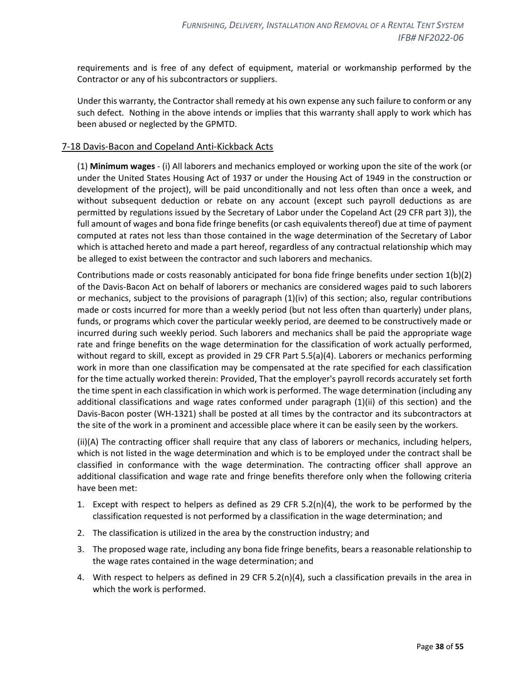requirements and is free of any defect of equipment, material or workmanship performed by the Contractor or any of his subcontractors or suppliers.

Under this warranty, the Contractor shall remedy at his own expense any such failure to conform or any such defect. Nothing in the above intends or implies that this warranty shall apply to work which has been abused or neglected by the GPMTD.

#### <span id="page-37-0"></span>7-18 Davis-Bacon and Copeland Anti-Kickback Acts

(1) **Minimum wages** - (i) All laborers and mechanics employed or working upon the site of the work (or under the United States Housing Act of 1937 or under the Housing Act of 1949 in the construction or development of the project), will be paid unconditionally and not less often than once a week, and without subsequent deduction or rebate on any account (except such payroll deductions as are permitted by regulations issued by the Secretary of Labor under the Copeland Act (29 CFR part 3)), the full amount of wages and bona fide fringe benefits (or cash equivalents thereof) due at time of payment computed at rates not less than those contained in the wage determination of the Secretary of Labor which is attached hereto and made a part hereof, regardless of any contractual relationship which may be alleged to exist between the contractor and such laborers and mechanics.

Contributions made or costs reasonably anticipated for bona fide fringe benefits under section 1(b)(2) of the Davis-Bacon Act on behalf of laborers or mechanics are considered wages paid to such laborers or mechanics, subject to the provisions of paragraph (1)(iv) of this section; also, regular contributions made or costs incurred for more than a weekly period (but not less often than quarterly) under plans, funds, or programs which cover the particular weekly period, are deemed to be constructively made or incurred during such weekly period. Such laborers and mechanics shall be paid the appropriate wage rate and fringe benefits on the wage determination for the classification of work actually performed, without regard to skill, except as provided in 29 CFR Part 5.5(a)(4). Laborers or mechanics performing work in more than one classification may be compensated at the rate specified for each classification for the time actually worked therein: Provided, That the employer's payroll records accurately set forth the time spent in each classification in which work is performed. The wage determination (including any additional classifications and wage rates conformed under paragraph (1)(ii) of this section) and the Davis-Bacon poster (WH-1321) shall be posted at all times by the contractor and its subcontractors at the site of the work in a prominent and accessible place where it can be easily seen by the workers.

(ii)(A) The contracting officer shall require that any class of laborers or mechanics, including helpers, which is not listed in the wage determination and which is to be employed under the contract shall be classified in conformance with the wage determination. The contracting officer shall approve an additional classification and wage rate and fringe benefits therefore only when the following criteria have been met:

- 1. Except with respect to helpers as defined as 29 CFR  $5.2(n)(4)$ , the work to be performed by the classification requested is not performed by a classification in the wage determination; and
- 2. The classification is utilized in the area by the construction industry; and
- 3. The proposed wage rate, including any bona fide fringe benefits, bears a reasonable relationship to the wage rates contained in the wage determination; and
- 4. With respect to helpers as defined in 29 CFR 5.2(n)(4), such a classification prevails in the area in which the work is performed.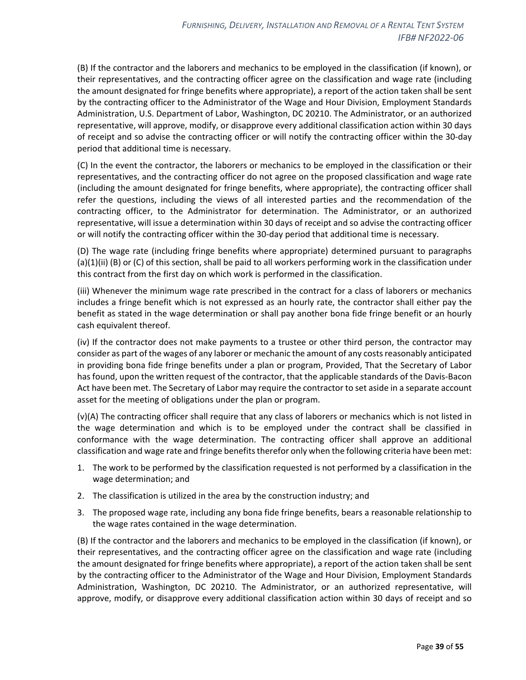(B) If the contractor and the laborers and mechanics to be employed in the classification (if known), or their representatives, and the contracting officer agree on the classification and wage rate (including the amount designated for fringe benefits where appropriate), a report of the action taken shall be sent by the contracting officer to the Administrator of the Wage and Hour Division, Employment Standards Administration, U.S. Department of Labor, Washington, DC 20210. The Administrator, or an authorized representative, will approve, modify, or disapprove every additional classification action within 30 days of receipt and so advise the contracting officer or will notify the contracting officer within the 30-day period that additional time is necessary.

(C) In the event the contractor, the laborers or mechanics to be employed in the classification or their representatives, and the contracting officer do not agree on the proposed classification and wage rate (including the amount designated for fringe benefits, where appropriate), the contracting officer shall refer the questions, including the views of all interested parties and the recommendation of the contracting officer, to the Administrator for determination. The Administrator, or an authorized representative, will issue a determination within 30 days of receipt and so advise the contracting officer or will notify the contracting officer within the 30-day period that additional time is necessary.

(D) The wage rate (including fringe benefits where appropriate) determined pursuant to paragraphs  $(a)(1)(ii)$  (B) or (C) of this section, shall be paid to all workers performing work in the classification under this contract from the first day on which work is performed in the classification.

(iii) Whenever the minimum wage rate prescribed in the contract for a class of laborers or mechanics includes a fringe benefit which is not expressed as an hourly rate, the contractor shall either pay the benefit as stated in the wage determination or shall pay another bona fide fringe benefit or an hourly cash equivalent thereof.

(iv) If the contractor does not make payments to a trustee or other third person, the contractor may consider as part of the wages of any laborer or mechanic the amount of any costs reasonably anticipated in providing bona fide fringe benefits under a plan or program, Provided, That the Secretary of Labor has found, upon the written request of the contractor, that the applicable standards of the Davis-Bacon Act have been met. The Secretary of Labor may require the contractor to set aside in a separate account asset for the meeting of obligations under the plan or program.

(v)(A) The contracting officer shall require that any class of laborers or mechanics which is not listed in the wage determination and which is to be employed under the contract shall be classified in conformance with the wage determination. The contracting officer shall approve an additional classification and wage rate and fringe benefits therefor only when the following criteria have been met:

- 1. The work to be performed by the classification requested is not performed by a classification in the wage determination; and
- 2. The classification is utilized in the area by the construction industry; and
- 3. The proposed wage rate, including any bona fide fringe benefits, bears a reasonable relationship to the wage rates contained in the wage determination.

(B) If the contractor and the laborers and mechanics to be employed in the classification (if known), or their representatives, and the contracting officer agree on the classification and wage rate (including the amount designated for fringe benefits where appropriate), a report of the action taken shall be sent by the contracting officer to the Administrator of the Wage and Hour Division, Employment Standards Administration, Washington, DC 20210. The Administrator, or an authorized representative, will approve, modify, or disapprove every additional classification action within 30 days of receipt and so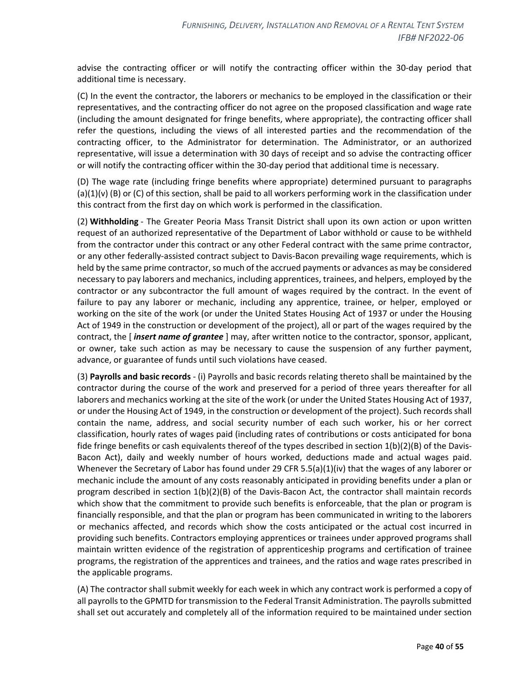advise the contracting officer or will notify the contracting officer within the 30-day period that additional time is necessary.

(C) In the event the contractor, the laborers or mechanics to be employed in the classification or their representatives, and the contracting officer do not agree on the proposed classification and wage rate (including the amount designated for fringe benefits, where appropriate), the contracting officer shall refer the questions, including the views of all interested parties and the recommendation of the contracting officer, to the Administrator for determination. The Administrator, or an authorized representative, will issue a determination with 30 days of receipt and so advise the contracting officer or will notify the contracting officer within the 30-day period that additional time is necessary.

(D) The wage rate (including fringe benefits where appropriate) determined pursuant to paragraphs  $(a)(1)(v)$  (B) or (C) of this section, shall be paid to all workers performing work in the classification under this contract from the first day on which work is performed in the classification.

(2) **Withholding** - The Greater Peoria Mass Transit District shall upon its own action or upon written request of an authorized representative of the Department of Labor withhold or cause to be withheld from the contractor under this contract or any other Federal contract with the same prime contractor, or any other federally-assisted contract subject to Davis-Bacon prevailing wage requirements, which is held by the same prime contractor, so much of the accrued payments or advances as may be considered necessary to pay laborers and mechanics, including apprentices, trainees, and helpers, employed by the contractor or any subcontractor the full amount of wages required by the contract. In the event of failure to pay any laborer or mechanic, including any apprentice, trainee, or helper, employed or working on the site of the work (or under the United States Housing Act of 1937 or under the Housing Act of 1949 in the construction or development of the project), all or part of the wages required by the contract, the [ *insert name of grantee* ] may, after written notice to the contractor, sponsor, applicant, or owner, take such action as may be necessary to cause the suspension of any further payment, advance, or guarantee of funds until such violations have ceased.

(3) **Payrolls and basic records** - (i) Payrolls and basic records relating thereto shall be maintained by the contractor during the course of the work and preserved for a period of three years thereafter for all laborers and mechanics working at the site of the work (or under the United States Housing Act of 1937, or under the Housing Act of 1949, in the construction or development of the project). Such records shall contain the name, address, and social security number of each such worker, his or her correct classification, hourly rates of wages paid (including rates of contributions or costs anticipated for bona fide fringe benefits or cash equivalents thereof of the types described in section 1(b)(2)(B) of the Davis-Bacon Act), daily and weekly number of hours worked, deductions made and actual wages paid. Whenever the Secretary of Labor has found under 29 CFR 5.5(a)(1)(iv) that the wages of any laborer or mechanic include the amount of any costs reasonably anticipated in providing benefits under a plan or program described in section 1(b)(2)(B) of the Davis-Bacon Act, the contractor shall maintain records which show that the commitment to provide such benefits is enforceable, that the plan or program is financially responsible, and that the plan or program has been communicated in writing to the laborers or mechanics affected, and records which show the costs anticipated or the actual cost incurred in providing such benefits. Contractors employing apprentices or trainees under approved programs shall maintain written evidence of the registration of apprenticeship programs and certification of trainee programs, the registration of the apprentices and trainees, and the ratios and wage rates prescribed in the applicable programs.

(A) The contractor shall submit weekly for each week in which any contract work is performed a copy of all payrolls to the GPMTD for transmission to the Federal Transit Administration. The payrolls submitted shall set out accurately and completely all of the information required to be maintained under section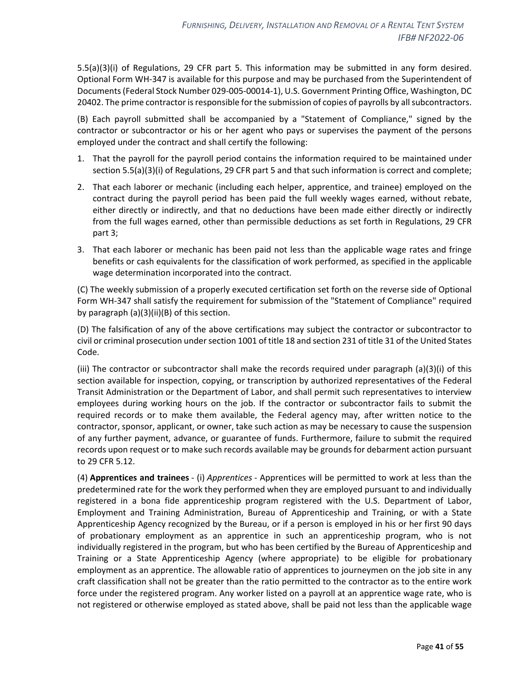5.5(a)(3)(i) of Regulations, 29 CFR part 5. This information may be submitted in any form desired. Optional Form WH-347 is available for this purpose and may be purchased from the Superintendent of Documents (Federal Stock Number 029-005-00014-1), U.S. Government Printing Office, Washington, DC 20402. The prime contractor is responsible for the submission of copies of payrolls by all subcontractors.

(B) Each payroll submitted shall be accompanied by a "Statement of Compliance," signed by the contractor or subcontractor or his or her agent who pays or supervises the payment of the persons employed under the contract and shall certify the following:

- 1. That the payroll for the payroll period contains the information required to be maintained under section 5.5(a)(3)(i) of Regulations, 29 CFR part 5 and that such information is correct and complete;
- 2. That each laborer or mechanic (including each helper, apprentice, and trainee) employed on the contract during the payroll period has been paid the full weekly wages earned, without rebate, either directly or indirectly, and that no deductions have been made either directly or indirectly from the full wages earned, other than permissible deductions as set forth in Regulations, 29 CFR part 3;
- 3. That each laborer or mechanic has been paid not less than the applicable wage rates and fringe benefits or cash equivalents for the classification of work performed, as specified in the applicable wage determination incorporated into the contract.

(C) The weekly submission of a properly executed certification set forth on the reverse side of Optional Form WH-347 shall satisfy the requirement for submission of the "Statement of Compliance" required by paragraph (a)(3)(ii)(B) of this section.

(D) The falsification of any of the above certifications may subject the contractor or subcontractor to civil or criminal prosecution under section 1001 of title 18 and section 231 of title 31 of the United States Code.

(iii) The contractor or subcontractor shall make the records required under paragraph (a)(3)(i) of this section available for inspection, copying, or transcription by authorized representatives of the Federal Transit Administration or the Department of Labor, and shall permit such representatives to interview employees during working hours on the job. If the contractor or subcontractor fails to submit the required records or to make them available, the Federal agency may, after written notice to the contractor, sponsor, applicant, or owner, take such action as may be necessary to cause the suspension of any further payment, advance, or guarantee of funds. Furthermore, failure to submit the required records upon request or to make such records available may be grounds for debarment action pursuant to 29 CFR 5.12.

(4) **Apprentices and trainees** - (i) *Apprentices* - Apprentices will be permitted to work at less than the predetermined rate for the work they performed when they are employed pursuant to and individually registered in a bona fide apprenticeship program registered with the U.S. Department of Labor, Employment and Training Administration, Bureau of Apprenticeship and Training, or with a State Apprenticeship Agency recognized by the Bureau, or if a person is employed in his or her first 90 days of probationary employment as an apprentice in such an apprenticeship program, who is not individually registered in the program, but who has been certified by the Bureau of Apprenticeship and Training or a State Apprenticeship Agency (where appropriate) to be eligible for probationary employment as an apprentice. The allowable ratio of apprentices to journeymen on the job site in any craft classification shall not be greater than the ratio permitted to the contractor as to the entire work force under the registered program. Any worker listed on a payroll at an apprentice wage rate, who is not registered or otherwise employed as stated above, shall be paid not less than the applicable wage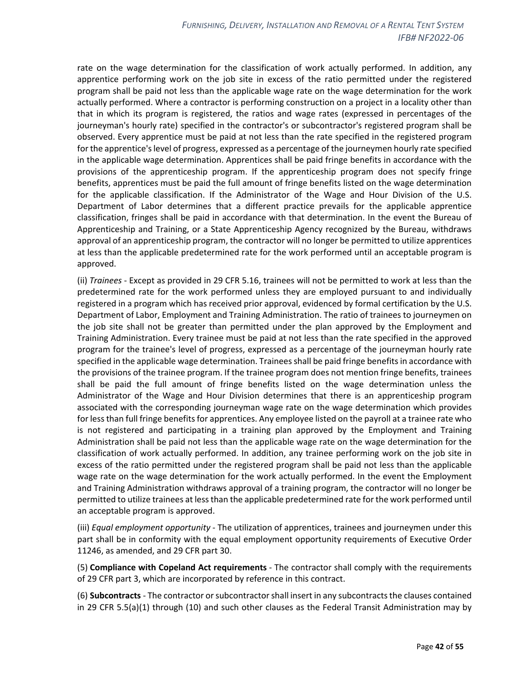rate on the wage determination for the classification of work actually performed. In addition, any apprentice performing work on the job site in excess of the ratio permitted under the registered program shall be paid not less than the applicable wage rate on the wage determination for the work actually performed. Where a contractor is performing construction on a project in a locality other than that in which its program is registered, the ratios and wage rates (expressed in percentages of the journeyman's hourly rate) specified in the contractor's or subcontractor's registered program shall be observed. Every apprentice must be paid at not less than the rate specified in the registered program for the apprentice's level of progress, expressed as a percentage of the journeymen hourly rate specified in the applicable wage determination. Apprentices shall be paid fringe benefits in accordance with the provisions of the apprenticeship program. If the apprenticeship program does not specify fringe benefits, apprentices must be paid the full amount of fringe benefits listed on the wage determination for the applicable classification. If the Administrator of the Wage and Hour Division of the U.S. Department of Labor determines that a different practice prevails for the applicable apprentice classification, fringes shall be paid in accordance with that determination. In the event the Bureau of Apprenticeship and Training, or a State Apprenticeship Agency recognized by the Bureau, withdraws approval of an apprenticeship program, the contractor will no longer be permitted to utilize apprentices at less than the applicable predetermined rate for the work performed until an acceptable program is approved.

(ii) *Trainees* - Except as provided in 29 CFR 5.16, trainees will not be permitted to work at less than the predetermined rate for the work performed unless they are employed pursuant to and individually registered in a program which has received prior approval, evidenced by formal certification by the U.S. Department of Labor, Employment and Training Administration. The ratio of trainees to journeymen on the job site shall not be greater than permitted under the plan approved by the Employment and Training Administration. Every trainee must be paid at not less than the rate specified in the approved program for the trainee's level of progress, expressed as a percentage of the journeyman hourly rate specified in the applicable wage determination. Trainees shall be paid fringe benefits in accordance with the provisions of the trainee program. If the trainee program does not mention fringe benefits, trainees shall be paid the full amount of fringe benefits listed on the wage determination unless the Administrator of the Wage and Hour Division determines that there is an apprenticeship program associated with the corresponding journeyman wage rate on the wage determination which provides for less than full fringe benefits for apprentices. Any employee listed on the payroll at a trainee rate who is not registered and participating in a training plan approved by the Employment and Training Administration shall be paid not less than the applicable wage rate on the wage determination for the classification of work actually performed. In addition, any trainee performing work on the job site in excess of the ratio permitted under the registered program shall be paid not less than the applicable wage rate on the wage determination for the work actually performed. In the event the Employment and Training Administration withdraws approval of a training program, the contractor will no longer be permitted to utilize trainees at less than the applicable predetermined rate for the work performed until an acceptable program is approved.

(iii) *Equal employment opportunity* - The utilization of apprentices, trainees and journeymen under this part shall be in conformity with the equal employment opportunity requirements of Executive Order 11246, as amended, and 29 CFR part 30.

(5) **Compliance with Copeland Act requirements** - The contractor shall comply with the requirements of 29 CFR part 3, which are incorporated by reference in this contract.

(6) **Subcontracts** - The contractor or subcontractor shall insert in any subcontracts the clauses contained in 29 CFR 5.5(a)(1) through (10) and such other clauses as the Federal Transit Administration may by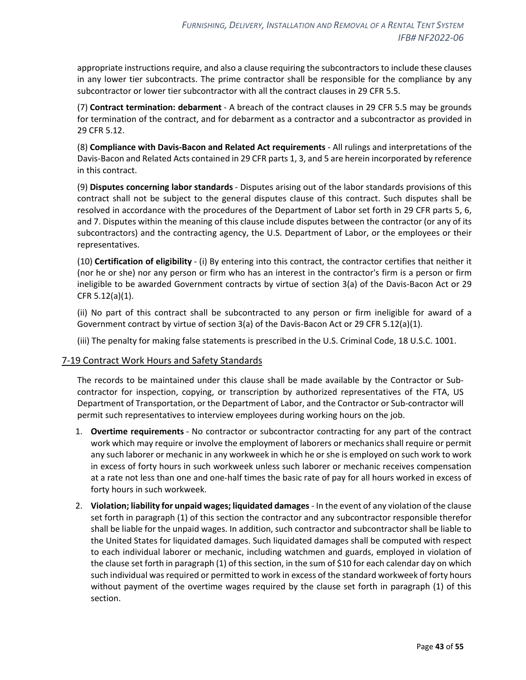appropriate instructions require, and also a clause requiring the subcontractors to include these clauses in any lower tier subcontracts. The prime contractor shall be responsible for the compliance by any subcontractor or lower tier subcontractor with all the contract clauses in 29 CFR 5.5.

(7) **Contract termination: debarment** - A breach of the contract clauses in 29 CFR 5.5 may be grounds for termination of the contract, and for debarment as a contractor and a subcontractor as provided in 29 CFR 5.12.

(8) **Compliance with Davis-Bacon and Related Act requirements** - All rulings and interpretations of the Davis-Bacon and Related Acts contained in 29 CFR parts 1, 3, and 5 are herein incorporated by reference in this contract.

(9) **Disputes concerning labor standards** - Disputes arising out of the labor standards provisions of this contract shall not be subject to the general disputes clause of this contract. Such disputes shall be resolved in accordance with the procedures of the Department of Labor set forth in 29 CFR parts 5, 6, and 7. Disputes within the meaning of this clause include disputes between the contractor (or any of its subcontractors) and the contracting agency, the U.S. Department of Labor, or the employees or their representatives.

(10) **Certification of eligibility** - (i) By entering into this contract, the contractor certifies that neither it (nor he or she) nor any person or firm who has an interest in the contractor's firm is a person or firm ineligible to be awarded Government contracts by virtue of section 3(a) of the Davis-Bacon Act or 29 CFR 5.12(a)(1).

(ii) No part of this contract shall be subcontracted to any person or firm ineligible for award of a Government contract by virtue of section 3(a) of the Davis-Bacon Act or 29 CFR 5.12(a)(1).

(iii) The penalty for making false statements is prescribed in the U.S. Criminal Code, 18 U.S.C. 1001.

## <span id="page-42-0"></span>7-19 Contract Work Hours and Safety Standards

The records to be maintained under this clause shall be made available by the Contractor or Subcontractor for inspection, copying, or transcription by authorized representatives of the FTA, US Department of Transportation, or the Department of Labor, and the Contractor or Sub-contractor will permit such representatives to interview employees during working hours on the job.

- 1. **Overtime requirements** No contractor or subcontractor contracting for any part of the contract work which may require or involve the employment of laborers or mechanics shall require or permit any such laborer or mechanic in any workweek in which he or she is employed on such work to work in excess of forty hours in such workweek unless such laborer or mechanic receives compensation at a rate not less than one and one-half times the basic rate of pay for all hours worked in excess of forty hours in such workweek.
- 2. **Violation; liability for unpaid wages; liquidated damages** In the event of any violation of the clause set forth in paragraph (1) of this section the contractor and any subcontractor responsible therefor shall be liable for the unpaid wages. In addition, such contractor and subcontractor shall be liable to the United States for liquidated damages. Such liquidated damages shall be computed with respect to each individual laborer or mechanic, including watchmen and guards, employed in violation of the clause set forth in paragraph (1) of this section, in the sum of \$10 for each calendar day on which such individual was required or permitted to work in excess of the standard workweek of forty hours without payment of the overtime wages required by the clause set forth in paragraph (1) of this section.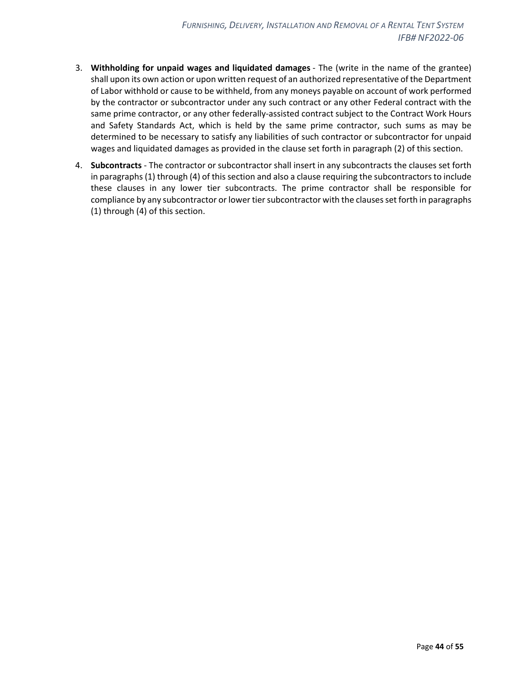- 3. **Withholding for unpaid wages and liquidated damages** The (write in the name of the grantee) shall upon its own action or upon written request of an authorized representative of the Department of Labor withhold or cause to be withheld, from any moneys payable on account of work performed by the contractor or subcontractor under any such contract or any other Federal contract with the same prime contractor, or any other federally-assisted contract subject to the Contract Work Hours and Safety Standards Act, which is held by the same prime contractor, such sums as may be determined to be necessary to satisfy any liabilities of such contractor or subcontractor for unpaid wages and liquidated damages as provided in the clause set forth in paragraph (2) of this section.
- 4. **Subcontracts** The contractor or subcontractor shall insert in any subcontracts the clauses set forth in paragraphs (1) through (4) of this section and also a clause requiring the subcontractors to include these clauses in any lower tier subcontracts. The prime contractor shall be responsible for compliance by any subcontractor or lower tier subcontractor with the clauses set forth in paragraphs (1) through (4) of this section.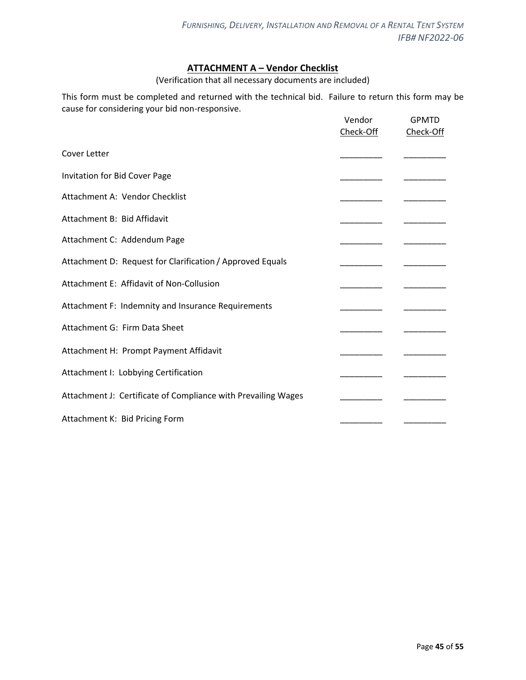## **ATTACHMENT A – Vendor Checklist**

(Verification that all necessary documents are included)

<span id="page-44-0"></span>This form must be completed and returned with the technical bid. Failure to return this form may be cause for considering your bid non-responsive.

|                                                               | Vendor<br>Check-Off | <b>GPMTD</b><br>Check-Off |
|---------------------------------------------------------------|---------------------|---------------------------|
| Cover Letter                                                  |                     |                           |
| Invitation for Bid Cover Page                                 |                     |                           |
| Attachment A: Vendor Checklist                                |                     |                           |
| Attachment B: Bid Affidavit                                   |                     |                           |
| Attachment C: Addendum Page                                   |                     |                           |
| Attachment D: Request for Clarification / Approved Equals     |                     |                           |
| Attachment E: Affidavit of Non-Collusion                      |                     |                           |
| Attachment F: Indemnity and Insurance Requirements            |                     |                           |
| Attachment G: Firm Data Sheet                                 |                     |                           |
| Attachment H: Prompt Payment Affidavit                        |                     |                           |
| Attachment I: Lobbying Certification                          |                     |                           |
| Attachment J: Certificate of Compliance with Prevailing Wages |                     |                           |
| Attachment K: Bid Pricing Form                                |                     |                           |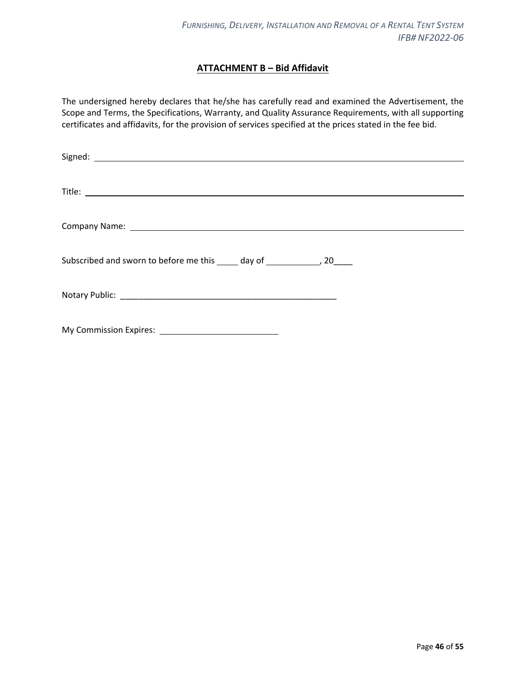## **ATTACHMENT B – Bid Affidavit**

<span id="page-45-0"></span>The undersigned hereby declares that he/she has carefully read and examined the Advertisement, the Scope and Terms, the Specifications, Warranty, and Quality Assurance Requirements, with all supporting certificates and affidavits, for the provision of services specified at the prices stated in the fee bid.

| Company Name: Law Company Name: Law Company Name: Law Company Name: Law Company Name: Law Company Name: Law Co |
|----------------------------------------------------------------------------------------------------------------|
| Subscribed and sworn to before me this _____ day of _______________, 20_____                                   |
|                                                                                                                |
|                                                                                                                |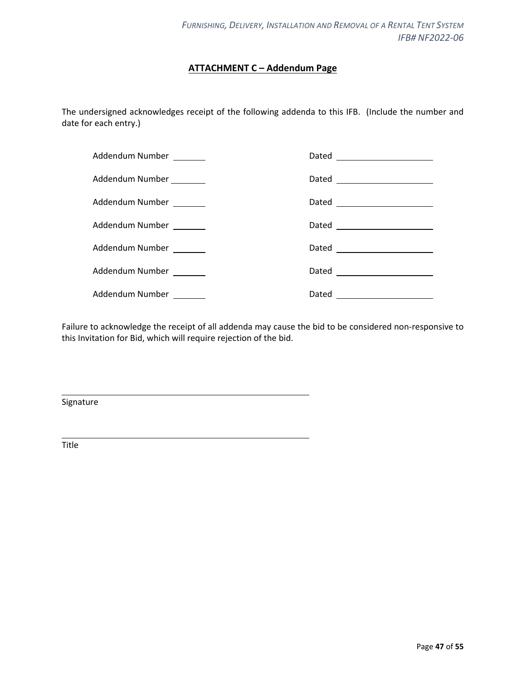## **ATTACHMENT C – Addendum Page**

<span id="page-46-0"></span>The undersigned acknowledges receipt of the following addenda to this IFB. (Include the number and date for each entry.)

| Addendum Number         |                                |
|-------------------------|--------------------------------|
| Addendum Number _______ | Dated ________________________ |
| Addendum Number _______ | Dated _______________________  |
| Addendum Number         | Dated ________________________ |
| Addendum Number _______ | Dated ______________________   |
| Addendum Number _______ |                                |
| Addendum Number _______ | Dated _______________________  |

Failure to acknowledge the receipt of all addenda may cause the bid to be considered non-responsive to this Invitation for Bid, which will require rejection of the bid.

Signature

Title

l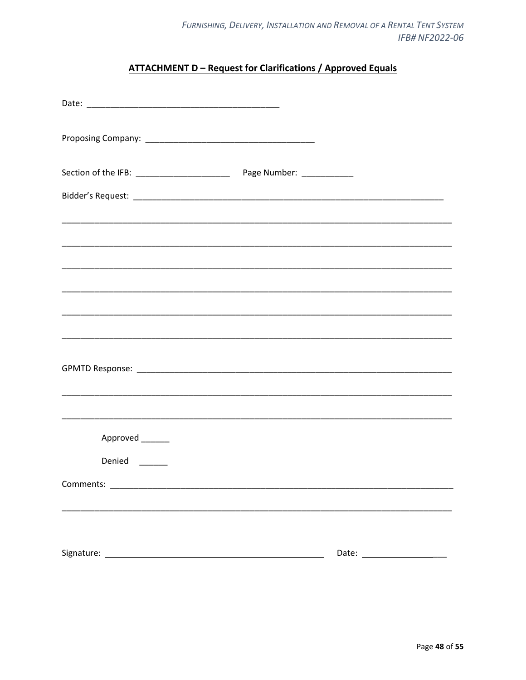## **ATTACHMENT D - Request for Clarifications / Approved Equals**

<span id="page-47-0"></span>

| Approved ______                                                                                                                                                                                                                |                            |
|--------------------------------------------------------------------------------------------------------------------------------------------------------------------------------------------------------------------------------|----------------------------|
| Denied                                                                                                                                                                                                                         |                            |
| Comments: North Comments: North Comments: North Comments: North Comments: North Comments: North Comments: North Comments: North Comments: North Comments: North Comments: North Comments: North Comments: North Comments: Nort |                            |
|                                                                                                                                                                                                                                |                            |
|                                                                                                                                                                                                                                |                            |
|                                                                                                                                                                                                                                | Date: ____________________ |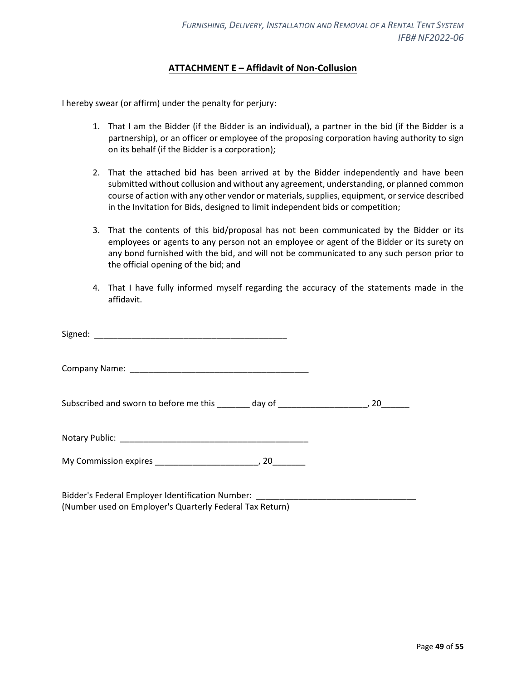## **ATTACHMENT E – Affidavit of Non-Collusion**

<span id="page-48-0"></span>I hereby swear (or affirm) under the penalty for perjury:

- 1. That I am the Bidder (if the Bidder is an individual), a partner in the bid (if the Bidder is a partnership), or an officer or employee of the proposing corporation having authority to sign on its behalf (if the Bidder is a corporation);
- 2. That the attached bid has been arrived at by the Bidder independently and have been submitted without collusion and without any agreement, understanding, or planned common course of action with any other vendor or materials, supplies, equipment, or service described in the Invitation for Bids, designed to limit independent bids or competition;
- 3. That the contents of this bid/proposal has not been communicated by the Bidder or its employees or agents to any person not an employee or agent of the Bidder or its surety on any bond furnished with the bid, and will not be communicated to any such person prior to the official opening of the bid; and
- 4. That I have fully informed myself regarding the accuracy of the statements made in the affidavit.

| Subscribed and sworn to before me this ________ day of __________________________, 20________ |  |
|-----------------------------------------------------------------------------------------------|--|
|                                                                                               |  |
|                                                                                               |  |

Bidder's Federal Employer Identification Number: (Number used on Employer's Quarterly Federal Tax Return)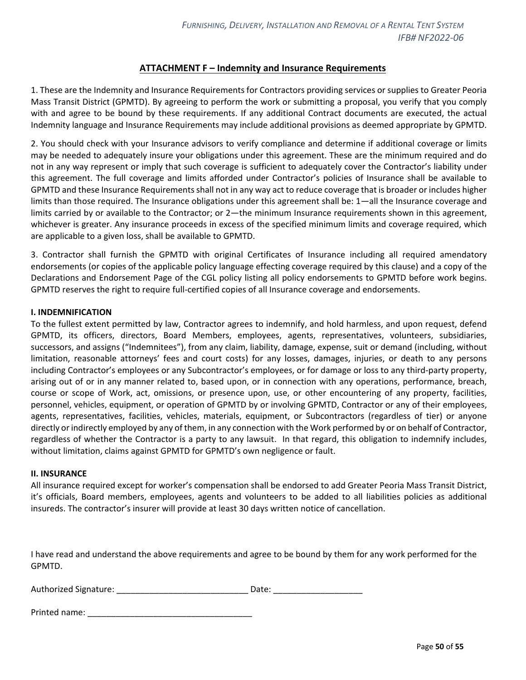## **ATTACHMENT F – Indemnity and Insurance Requirements**

<span id="page-49-0"></span>1. These are the Indemnity and Insurance Requirements for Contractors providing services or supplies to Greater Peoria Mass Transit District (GPMTD). By agreeing to perform the work or submitting a proposal, you verify that you comply with and agree to be bound by these requirements. If any additional Contract documents are executed, the actual Indemnity language and Insurance Requirements may include additional provisions as deemed appropriate by GPMTD.

2. You should check with your Insurance advisors to verify compliance and determine if additional coverage or limits may be needed to adequately insure your obligations under this agreement. These are the minimum required and do not in any way represent or imply that such coverage is sufficient to adequately cover the Contractor's liability under this agreement. The full coverage and limits afforded under Contractor's policies of Insurance shall be available to GPMTD and these Insurance Requirements shall not in any way act to reduce coverage that is broader or includes higher limits than those required. The Insurance obligations under this agreement shall be: 1—all the Insurance coverage and limits carried by or available to the Contractor; or 2—the minimum Insurance requirements shown in this agreement, whichever is greater. Any insurance proceeds in excess of the specified minimum limits and coverage required, which are applicable to a given loss, shall be available to GPMTD.

3. Contractor shall furnish the GPMTD with original Certificates of Insurance including all required amendatory endorsements (or copies of the applicable policy language effecting coverage required by this clause) and a copy of the Declarations and Endorsement Page of the CGL policy listing all policy endorsements to GPMTD before work begins. GPMTD reserves the right to require full-certified copies of all Insurance coverage and endorsements.

#### **I. INDEMNIFICATION**

To the fullest extent permitted by law, Contractor agrees to indemnify, and hold harmless, and upon request, defend GPMTD, its officers, directors, Board Members, employees, agents, representatives, volunteers, subsidiaries, successors, and assigns ("Indemnitees"), from any claim, liability, damage, expense, suit or demand (including, without limitation, reasonable attorneys' fees and court costs) for any losses, damages, injuries, or death to any persons including Contractor's employees or any Subcontractor's employees, or for damage or loss to any third-party property, arising out of or in any manner related to, based upon, or in connection with any operations, performance, breach, course or scope of Work, act, omissions, or presence upon, use, or other encountering of any property, facilities, personnel, vehicles, equipment, or operation of GPMTD by or involving GPMTD, Contractor or any of their employees, agents, representatives, facilities, vehicles, materials, equipment, or Subcontractors (regardless of tier) or anyone directly or indirectly employed by any of them, in any connection with the Work performed by or on behalf of Contractor, regardless of whether the Contractor is a party to any lawsuit. In that regard, this obligation to indemnify includes, without limitation, claims against GPMTD for GPMTD's own negligence or fault.

#### **II. INSURANCE**

All insurance required except for worker's compensation shall be endorsed to add Greater Peoria Mass Transit District, it's officials, Board members, employees, agents and volunteers to be added to all liabilities policies as additional insureds. The contractor's insurer will provide at least 30 days written notice of cancellation.

I have read and understand the above requirements and agree to be bound by them for any work performed for the GPMTD.

| Authorized Signature: |  | Date: |
|-----------------------|--|-------|
|-----------------------|--|-------|

| Printed name: |  |
|---------------|--|
|               |  |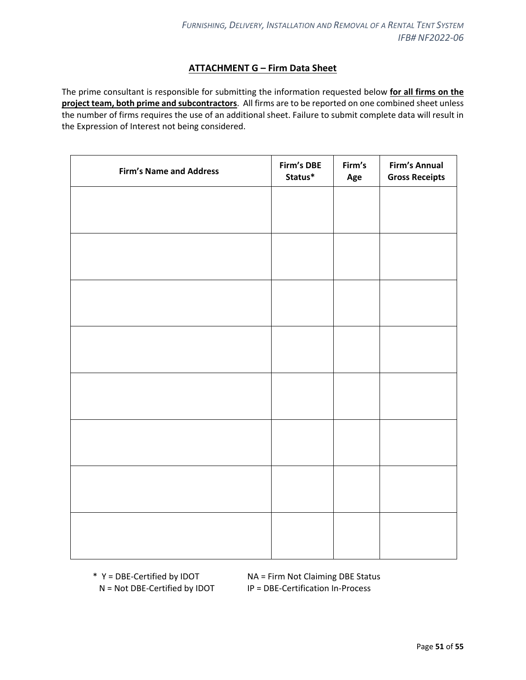## **ATTACHMENT G – Firm Data Sheet**

<span id="page-50-0"></span>The prime consultant is responsible for submitting the information requested below **for all firms on the project team, both prime and subcontractors**. All firms are to be reported on one combined sheet unless the number of firms requires the use of an additional sheet. Failure to submit complete data will result in the Expression of Interest not being considered.

| Firm's DBE<br>Status* | Firm's<br>Age | Firm's Annual<br><b>Gross Receipts</b> |
|-----------------------|---------------|----------------------------------------|
|                       |               |                                        |
|                       |               |                                        |
|                       |               |                                        |
|                       |               |                                        |
|                       |               |                                        |
|                       |               |                                        |
|                       |               |                                        |
|                       |               |                                        |
|                       |               |                                        |
|                       |               |                                        |
|                       |               |                                        |
|                       |               |                                        |
|                       |               |                                        |
|                       |               |                                        |
|                       |               |                                        |
|                       |               |                                        |
|                       |               |                                        |

\* Y = DBE-Certified by IDOT NA = Firm Not Claiming DBE Status N = Not DBE-Certified by IDOT IP = DBE-Certification In-Process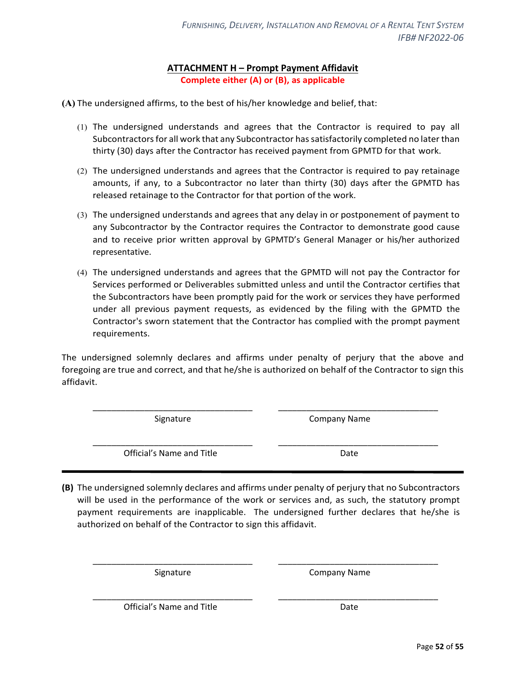## **ATTACHMENT H – Prompt Payment Affidavit Complete either (A) or (B), as applicable**

<span id="page-51-0"></span>**(A)** The undersigned affirms, to the best of his/her knowledge and belief, that:

- (1) The undersigned understands and agrees that the Contractor is required to pay all Subcontractors for all work that any Subcontractor has satisfactorily completed no later than thirty (30) days after the Contractor has received payment from GPMTD for that work.
- (2) The undersigned understands and agrees that the Contractor is required to pay retainage amounts, if any, to a Subcontractor no later than thirty (30) days after the GPMTD has released retainage to the Contractor for that portion of the work.
- (3) The undersigned understands and agrees that any delay in or postponement of payment to any Subcontractor by the Contractor requires the Contractor to demonstrate good cause and to receive prior written approval by GPMTD's General Manager or his/her authorized representative.
- (4) The undersigned understands and agrees that the GPMTD will not pay the Contractor for Services performed or Deliverables submitted unless and until the Contractor certifies that the Subcontractors have been promptly paid for the work or services they have performed under all previous payment requests, as evidenced by the filing with the GPMTD the Contractor's sworn statement that the Contractor has complied with the prompt payment requirements.

The undersigned solemnly declares and affirms under penalty of perjury that the above and foregoing are true and correct, and that he/she is authorized on behalf of the Contractor to sign this affidavit.

\_\_\_\_\_\_\_\_\_\_\_\_\_\_\_\_\_\_\_\_\_\_\_\_\_\_\_\_\_\_\_\_\_\_ \_\_\_\_\_\_\_\_\_\_\_\_\_\_\_\_\_\_\_\_\_\_\_\_\_\_\_\_\_\_\_\_\_\_

Signature **Company Name** 

\_\_\_\_\_\_\_\_\_\_\_\_\_\_\_\_\_\_\_\_\_\_\_\_\_\_\_\_\_\_\_\_\_\_ \_\_\_\_\_\_\_\_\_\_\_\_\_\_\_\_\_\_\_\_\_\_\_\_\_\_\_\_\_\_\_\_\_\_ Official's Name and Title Date

**(B)** The undersigned solemnly declares and affirms under penalty of perjury that no Subcontractors will be used in the performance of the work or services and, as such, the statutory prompt payment requirements are inapplicable. The undersigned further declares that he/she is authorized on behalf of the Contractor to sign this affidavit.

\_\_\_\_\_\_\_\_\_\_\_\_\_\_\_\_\_\_\_\_\_\_\_\_\_\_\_\_\_\_\_\_\_\_ \_\_\_\_\_\_\_\_\_\_\_\_\_\_\_\_\_\_\_\_\_\_\_\_\_\_\_\_\_\_\_\_\_\_

\_\_\_\_\_\_\_\_\_\_\_\_\_\_\_\_\_\_\_\_\_\_\_\_\_\_\_\_\_\_\_\_\_\_ \_\_\_\_\_\_\_\_\_\_\_\_\_\_\_\_\_\_\_\_\_\_\_\_\_\_\_\_\_\_\_\_\_\_

Signature Company Name

Official's Name and Title **Date** Date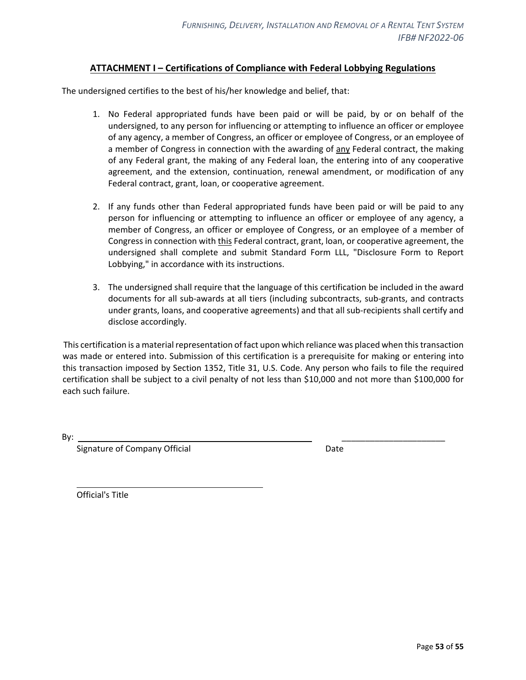## **ATTACHMENT I – Certifications of Compliance with Federal Lobbying Regulations**

<span id="page-52-0"></span>The undersigned certifies to the best of his/her knowledge and belief, that:

- 1. No Federal appropriated funds have been paid or will be paid, by or on behalf of the undersigned, to any person for influencing or attempting to influence an officer or employee of any agency, a member of Congress, an officer or employee of Congress, or an employee of a member of Congress in connection with the awarding of any Federal contract, the making of any Federal grant, the making of any Federal loan, the entering into of any cooperative agreement, and the extension, continuation, renewal amendment, or modification of any Federal contract, grant, loan, or cooperative agreement.
- 2. If any funds other than Federal appropriated funds have been paid or will be paid to any person for influencing or attempting to influence an officer or employee of any agency, a member of Congress, an officer or employee of Congress, or an employee of a member of Congress in connection with this Federal contract, grant, loan, or cooperative agreement, the undersigned shall complete and submit Standard Form LLL, "Disclosure Form to Report Lobbying," in accordance with its instructions.
- 3. The undersigned shall require that the language of this certification be included in the award documents for all sub-awards at all tiers (including subcontracts, sub-grants, and contracts under grants, loans, and cooperative agreements) and that all sub-recipients shall certify and disclose accordingly.

This certification is a material representation of fact upon which reliance was placed when this transaction was made or entered into. Submission of this certification is a prerequisite for making or entering into this transaction imposed by Section 1352, Title 31, U.S. Code. Any person who fails to file the required certification shall be subject to a civil penalty of not less than \$10,000 and not more than \$100,000 for each such failure.

By: \_\_\_\_\_\_\_\_\_\_\_\_\_\_\_\_\_\_\_\_\_\_

Signature of Company Official Date Date

Official's Title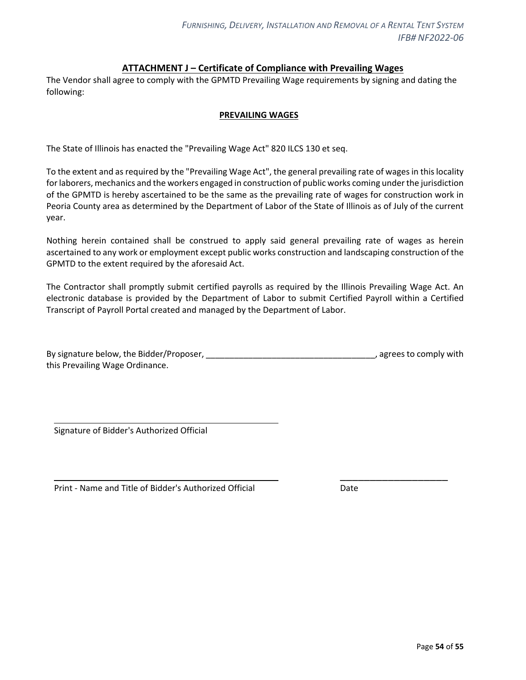## **ATTACHMENT J – Certificate of Compliance with Prevailing Wages**

<span id="page-53-0"></span>The Vendor shall agree to comply with the GPMTD Prevailing Wage requirements by signing and dating the following:

#### **PREVAILING WAGES**

The State of Illinois has enacted the "Prevailing Wage Act" 820 ILCS 130 et seq.

To the extent and as required by the "Prevailing Wage Act", the general prevailing rate of wages in this locality for laborers, mechanics and the workers engaged in construction of public works coming under the jurisdiction of the GPMTD is hereby ascertained to be the same as the prevailing rate of wages for construction work in Peoria County area as determined by the Department of Labor of the State of Illinois as of July of the current year.

Nothing herein contained shall be construed to apply said general prevailing rate of wages as herein ascertained to any work or employment except public works construction and landscaping construction of the GPMTD to the extent required by the aforesaid Act.

The Contractor shall promptly submit certified payrolls as required by the Illinois Prevailing Wage Act. An electronic database is provided by the Department of Labor to submit Certified Payroll within a Certified Transcript of Payroll Portal created and managed by the Department of Labor.

| By signature below, the Bidder/Proposer, | , agrees to comply with |
|------------------------------------------|-------------------------|
| this Prevailing Wage Ordinance.          |                         |

Signature of Bidder's Authorized Official

Print - Name and Title of Bidder's Authorized Official Date

\_\_\_\_\_\_\_\_\_\_\_\_\_\_\_\_\_\_